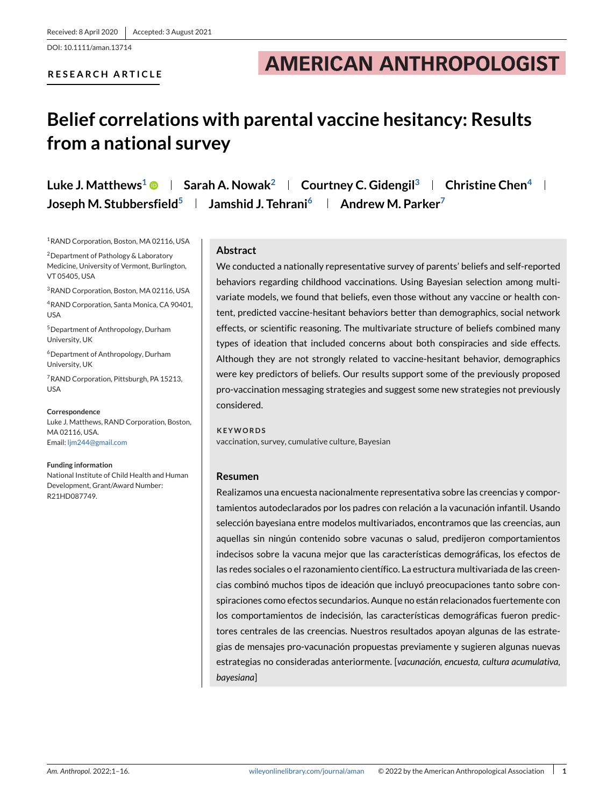DOI: 10.1111/aman.13714

# **RESEARCH ARTICLE**

# **AMERICAN ANTHROPOLOGIST**

# **Belief correlations with parental vaccine hesitancy: Results from a national survey**

**Luke J. Matthews<sup>1</sup> <b>Sarah A. Nowak**<sup>2</sup> **Courtney C. Gidengil**<sup>3</sup> **Christine Chen**<sup>4</sup> **L Joseph M. Stubbersfield<sup>5</sup> | Jamshid J. Tehrani<sup>6</sup> | Andrew M. Parker<sup>7</sup>** 

1RAND Corporation, Boston, MA 02116, USA

2Department of Pathology & Laboratory Medicine, University of Vermont, Burlington, VT 05405, USA

3RAND Corporation, Boston, MA 02116, USA

4RAND Corporation, Santa Monica, CA 90401, USA

5Department of Anthropology, Durham University, UK

6Department of Anthropology, Durham University, UK

7RAND Corporation, Pittsburgh, PA 15213, USA

**Correspondence** Luke J. Matthews, RAND Corporation, Boston, MA 02116, USA. Email: [ljm244@gmail.com](mailto:ljm244@gmail.com)

**Funding information** National Institute of Child Health and Human Development, Grant/Award Number: R21HD087749.

# **Abstract**

We conducted a nationally representative survey of parents' beliefs and self-reported behaviors regarding childhood vaccinations. Using Bayesian selection among multivariate models, we found that beliefs, even those without any vaccine or health content, predicted vaccine-hesitant behaviors better than demographics, social network effects, or scientific reasoning. The multivariate structure of beliefs combined many types of ideation that included concerns about both conspiracies and side effects. Although they are not strongly related to vaccine-hesitant behavior, demographics were key predictors of beliefs. Our results support some of the previously proposed pro-vaccination messaging strategies and suggest some new strategies not previously considered.

**KEYWORDS** vaccination, survey, cumulative culture, Bayesian

# **Resumen**

Realizamos una encuesta nacionalmente representativa sobre las creencias y comportamientos autodeclarados por los padres con relación a la vacunación infantil. Usando selección bayesiana entre modelos multivariados, encontramos que las creencias, aun aquellas sin ningún contenido sobre vacunas o salud, predijeron comportamientos indecisos sobre la vacuna mejor que las características demográficas, los efectos de las redes sociales o el razonamiento científico. La estructura multivariada de las creencias combinó muchos tipos de ideación que incluyó preocupaciones tanto sobre conspiraciones como efectos secundarios. Aunque no están relacionados fuertemente con los comportamientos de indecisión, las características demográficas fueron predictores centrales de las creencias. Nuestros resultados apoyan algunas de las estrategias de mensajes pro-vacunación propuestas previamente y sugieren algunas nuevas estrategias no consideradas anteriormente. [*vacunación, encuesta, cultura acumulativa, bayesiana*]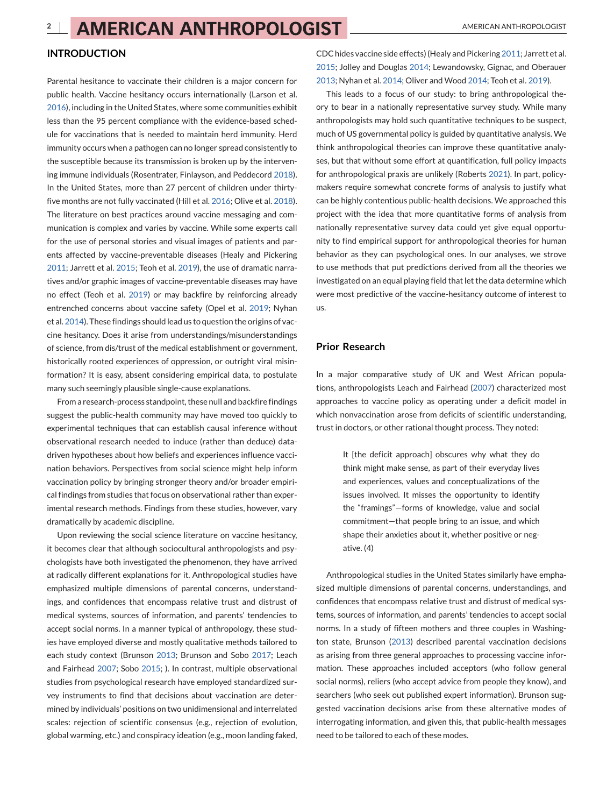## **INTRODUCTION**

Parental hesitance to vaccinate their children is a major concern for public health. Vaccine hesitancy occurs internationally (Larson et al. [2016\)](#page-14-0), including in the United States, where some communities exhibit less than the 95 percent compliance with the evidence-based schedule for vaccinations that is needed to maintain herd immunity. Herd immunity occurs when a pathogen can no longer spread consistently to the susceptible because its transmission is broken up by the intervening immune individuals (Rosentrater, Finlayson, and Peddecord [2018\)](#page-14-0). In the United States, more than 27 percent of children under thirtyfive months are not fully vaccinated (Hill et al. [2016;](#page-14-0) Olive et al. [2018\)](#page-14-0). The literature on best practices around vaccine messaging and communication is complex and varies by vaccine. While some experts call for the use of personal stories and visual images of patients and parents affected by vaccine-preventable diseases (Healy and Pickering [2011;](#page-14-0) Jarrett et al. [2015;](#page-14-0) Teoh et al. [2019\)](#page-15-0), the use of dramatic narratives and/or graphic images of vaccine-preventable diseases may have no effect (Teoh et al. [2019\)](#page-15-0) or may backfire by reinforcing already entrenched concerns about vaccine safety (Opel et al. [2019;](#page-14-0) Nyhan et al. [2014\)](#page-14-0). These findings should lead us to question the origins of vaccine hesitancy. Does it arise from understandings/misunderstandings of science, from dis/trust of the medical establishment or government, historically rooted experiences of oppression, or outright viral misinformation? It is easy, absent considering empirical data, to postulate many such seemingly plausible single-cause explanations.

From a research-process standpoint, these null and backfire findings suggest the public-health community may have moved too quickly to experimental techniques that can establish causal inference without observational research needed to induce (rather than deduce) datadriven hypotheses about how beliefs and experiences influence vaccination behaviors. Perspectives from social science might help inform vaccination policy by bringing stronger theory and/or broader empirical findings from studies that focus on observational rather than experimental research methods. Findings from these studies, however, vary dramatically by academic discipline.

Upon reviewing the social science literature on vaccine hesitancy, it becomes clear that although sociocultural anthropologists and psychologists have both investigated the phenomenon, they have arrived at radically different explanations for it. Anthropological studies have emphasized multiple dimensions of parental concerns, understandings, and confidences that encompass relative trust and distrust of medical systems, sources of information, and parents' tendencies to accept social norms. In a manner typical of anthropology, these studies have employed diverse and mostly qualitative methods tailored to each study context (Brunson [2013;](#page-13-0) Brunson and Sobo [2017;](#page-13-0) Leach and Fairhead [2007;](#page-14-0) Sobo [2015;](#page-14-0) ). In contrast, multiple observational studies from psychological research have employed standardized survey instruments to find that decisions about vaccination are determined by individuals' positions on two unidimensional and interrelated scales: rejection of scientific consensus (e.g., rejection of evolution, global warming, etc.) and conspiracy ideation (e.g., moon landing faked,

CDC hides vaccine side effects) (Healy and Pickering [2011;](#page-14-0) Jarrett et al. [2015;](#page-14-0) Jolley and Douglas [2014;](#page-14-0) Lewandowsky, Gignac, and Oberauer [2013;](#page-14-0) Nyhan et al. [2014;](#page-14-0) Oliver and Wood [2014;](#page-14-0) Teoh et al. [2019\)](#page-15-0).

This leads to a focus of our study: to bring anthropological theory to bear in a nationally representative survey study. While many anthropologists may hold such quantitative techniques to be suspect, much of US governmental policy is guided by quantitative analysis. We think anthropological theories can improve these quantitative analyses, but that without some effort at quantification, full policy impacts for anthropological praxis are unlikely (Roberts [2021\)](#page-14-0). In part, policymakers require somewhat concrete forms of analysis to justify what can be highly contentious public-health decisions. We approached this project with the idea that more quantitative forms of analysis from nationally representative survey data could yet give equal opportunity to find empirical support for anthropological theories for human behavior as they can psychological ones. In our analyses, we strove to use methods that put predictions derived from all the theories we investigated on an equal playing field that let the data determine which were most predictive of the vaccine-hesitancy outcome of interest to us.

## **Prior Research**

In a major comparative study of UK and West African populations, anthropologists Leach and Fairhead [\(2007\)](#page-14-0) characterized most approaches to vaccine policy as operating under a deficit model in which nonvaccination arose from deficits of scientific understanding, trust in doctors, or other rational thought process. They noted:

> It [the deficit approach] obscures why what they do think might make sense, as part of their everyday lives and experiences, values and conceptualizations of the issues involved. It misses the opportunity to identify the "framings"—forms of knowledge, value and social commitment—that people bring to an issue, and which shape their anxieties about it, whether positive or negative. (4)

Anthropological studies in the United States similarly have emphasized multiple dimensions of parental concerns, understandings, and confidences that encompass relative trust and distrust of medical systems, sources of information, and parents' tendencies to accept social norms. In a study of fifteen mothers and three couples in Washington state, Brunson [\(2013\)](#page-13-0) described parental vaccination decisions as arising from three general approaches to processing vaccine information. These approaches included acceptors (who follow general social norms), reliers (who accept advice from people they know), and searchers (who seek out published expert information). Brunson suggested vaccination decisions arise from these alternative modes of interrogating information, and given this, that public-health messages need to be tailored to each of these modes.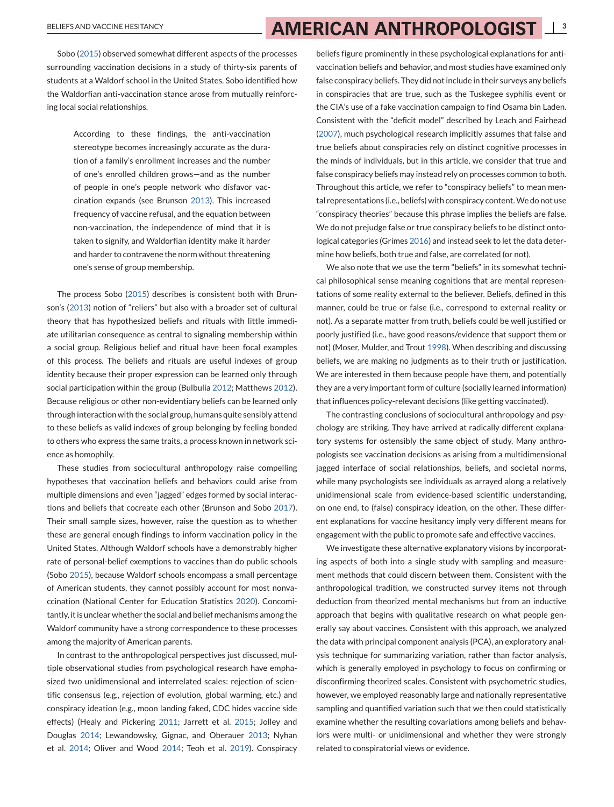# BELIEFS AND VACCINE HESITANCY **3**<br>**3 AMERICAN ANTHROPOLOGIST** 13

Sobo [\(2015\)](#page-14-0) observed somewhat different aspects of the processes surrounding vaccination decisions in a study of thirty-six parents of students at a Waldorf school in the United States. Sobo identified how the Waldorfian anti-vaccination stance arose from mutually reinforcing local social relationships.

> According to these findings, the anti-vaccination stereotype becomes increasingly accurate as the duration of a family's enrollment increases and the number of one's enrolled children grows—and as the number of people in one's people network who disfavor vaccination expands (see Brunson [2013\)](#page-13-0). This increased frequency of vaccine refusal, and the equation between non-vaccination, the independence of mind that it is taken to signify, and Waldorfian identity make it harder and harder to contravene the norm without threatening one's sense of group membership.

The process Sobo [\(2015\)](#page-14-0) describes is consistent both with Brunson's [\(2013\)](#page-13-0) notion of "reliers" but also with a broader set of cultural theory that has hypothesized beliefs and rituals with little immediate utilitarian consequence as central to signaling membership within a social group. Religious belief and ritual have been focal examples of this process. The beliefs and rituals are useful indexes of group identity because their proper expression can be learned only through social participation within the group (Bulbulia [2012;](#page-13-0) Matthews [2012\)](#page-14-0). Because religious or other non-evidentiary beliefs can be learned only through interaction with the social group, humans quite sensibly attend to these beliefs as valid indexes of group belonging by feeling bonded to others who express the same traits, a process known in network science as homophily.

These studies from sociocultural anthropology raise compelling hypotheses that vaccination beliefs and behaviors could arise from multiple dimensions and even "jagged" edges formed by social interactions and beliefs that cocreate each other (Brunson and Sobo [2017\)](#page-13-0). Their small sample sizes, however, raise the question as to whether these are general enough findings to inform vaccination policy in the United States. Although Waldorf schools have a demonstrably higher rate of personal-belief exemptions to vaccines than do public schools (Sobo [2015\)](#page-14-0), because Waldorf schools encompass a small percentage of American students, they cannot possibly account for most nonvaccination (National Center for Education Statistics [2020\)](#page-14-0). Concomitantly, it is unclear whether the social and belief mechanisms among the Waldorf community have a strong correspondence to these processes among the majority of American parents.

In contrast to the anthropological perspectives just discussed, multiple observational studies from psychological research have emphasized two unidimensional and interrelated scales: rejection of scientific consensus (e.g., rejection of evolution, global warming, etc.) and conspiracy ideation (e.g., moon landing faked, CDC hides vaccine side effects) (Healy and Pickering [2011;](#page-14-0) Jarrett et al. [2015;](#page-14-0) Jolley and Douglas [2014;](#page-14-0) Lewandowsky, Gignac, and Oberauer [2013;](#page-14-0) Nyhan et al. [2014;](#page-14-0) Oliver and Wood [2014;](#page-14-0) Teoh et al. [2019\)](#page-15-0). Conspiracy

beliefs figure prominently in these psychological explanations for antivaccination beliefs and behavior, and most studies have examined only false conspiracy beliefs. They did not include in their surveys any beliefs in conspiracies that are true, such as the Tuskegee syphilis event or the CIA's use of a fake vaccination campaign to find Osama bin Laden. Consistent with the "deficit model" described by Leach and Fairhead [\(2007\)](#page-14-0), much psychological research implicitly assumes that false and true beliefs about conspiracies rely on distinct cognitive processes in the minds of individuals, but in this article, we consider that true and false conspiracy beliefs may instead rely on processes common to both. Throughout this article, we refer to "conspiracy beliefs" to mean mental representations (i.e., beliefs) with conspiracy content.We do not use "conspiracy theories" because this phrase implies the beliefs are false. We do not prejudge false or true conspiracy beliefs to be distinct ontological categories (Grimes [2016\)](#page-13-0) and instead seek to let the data determine how beliefs, both true and false, are correlated (or not).

We also note that we use the term "beliefs" in its somewhat technical philosophical sense meaning cognitions that are mental representations of some reality external to the believer. Beliefs, defined in this manner, could be true or false (i.e., correspond to external reality or not). As a separate matter from truth, beliefs could be well justified or poorly justified (i.e., have good reasons/evidence that support them or not) (Moser, Mulder, and Trout [1998\)](#page-14-0). When describing and discussing beliefs, we are making no judgments as to their truth or justification. We are interested in them because people have them, and potentially they are a very important form of culture (socially learned information) that influences policy-relevant decisions (like getting vaccinated).

The contrasting conclusions of sociocultural anthropology and psychology are striking. They have arrived at radically different explanatory systems for ostensibly the same object of study. Many anthropologists see vaccination decisions as arising from a multidimensional jagged interface of social relationships, beliefs, and societal norms, while many psychologists see individuals as arrayed along a relatively unidimensional scale from evidence-based scientific understanding, on one end, to (false) conspiracy ideation, on the other. These different explanations for vaccine hesitancy imply very different means for engagement with the public to promote safe and effective vaccines.

We investigate these alternative explanatory visions by incorporating aspects of both into a single study with sampling and measurement methods that could discern between them. Consistent with the anthropological tradition, we constructed survey items not through deduction from theorized mental mechanisms but from an inductive approach that begins with qualitative research on what people generally say about vaccines. Consistent with this approach, we analyzed the data with principal component analysis (PCA), an exploratory analysis technique for summarizing variation, rather than factor analysis, which is generally employed in psychology to focus on confirming or disconfirming theorized scales. Consistent with psychometric studies, however, we employed reasonably large and nationally representative sampling and quantified variation such that we then could statistically examine whether the resulting covariations among beliefs and behaviors were multi- or unidimensional and whether they were strongly related to conspiratorial views or evidence.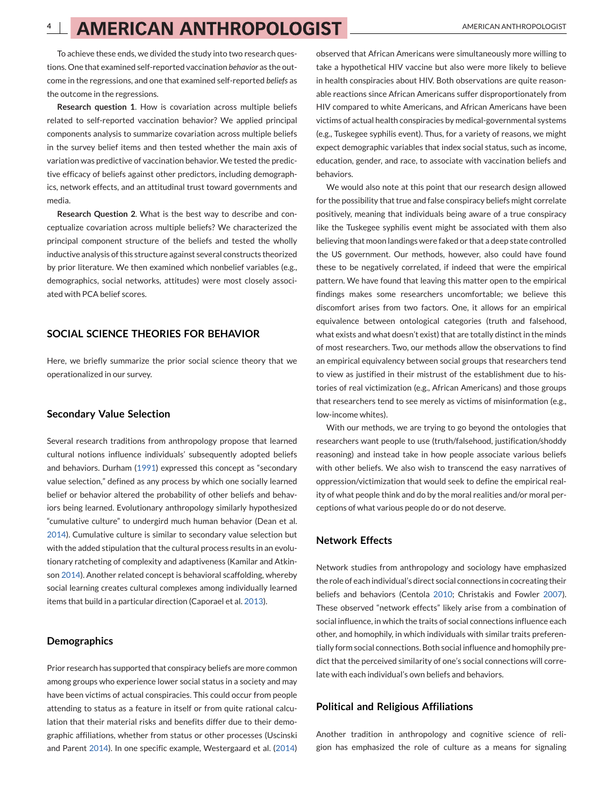To achieve these ends, we divided the study into two research questions. One that examined self-reported vaccination *behavior* as the outcome in the regressions, and one that examined self-reported *beliefs* as the outcome in the regressions.

**Research question 1**. How is covariation across multiple beliefs related to self-reported vaccination behavior? We applied principal components analysis to summarize covariation across multiple beliefs in the survey belief items and then tested whether the main axis of variation was predictive of vaccination behavior. We tested the predictive efficacy of beliefs against other predictors, including demographics, network effects, and an attitudinal trust toward governments and media.

**Research Question 2**. What is the best way to describe and conceptualize covariation across multiple beliefs? We characterized the principal component structure of the beliefs and tested the wholly inductive analysis of this structure against several constructs theorized by prior literature. We then examined which nonbelief variables (e.g., demographics, social networks, attitudes) were most closely associated with PCA belief scores.

## **SOCIAL SCIENCE THEORIES FOR BEHAVIOR**

Here, we briefly summarize the prior social science theory that we operationalized in our survey.

### **Secondary Value Selection**

Several research traditions from anthropology propose that learned cultural notions influence individuals' subsequently adopted beliefs and behaviors. Durham [\(1991\)](#page-13-0) expressed this concept as "secondary value selection," defined as any process by which one socially learned belief or behavior altered the probability of other beliefs and behaviors being learned. Evolutionary anthropology similarly hypothesized "cumulative culture" to undergird much human behavior (Dean et al. [2014\)](#page-13-0). Cumulative culture is similar to secondary value selection but with the added stipulation that the cultural process results in an evolutionary ratcheting of complexity and adaptiveness (Kamilar and Atkinson [2014\)](#page-14-0). Another related concept is behavioral scaffolding, whereby social learning creates cultural complexes among individually learned items that build in a particular direction (Caporael et al. [2013\)](#page-13-0).

# **Demographics**

Prior research has supported that conspiracy beliefs are more common among groups who experience lower social status in a society and may have been victims of actual conspiracies. This could occur from people attending to status as a feature in itself or from quite rational calculation that their material risks and benefits differ due to their demographic affiliations, whether from status or other processes (Uscinski and Parent [2014\)](#page-15-0). In one specific example, Westergaard et al. [\(2014\)](#page-15-0) observed that African Americans were simultaneously more willing to take a hypothetical HIV vaccine but also were more likely to believe in health conspiracies about HIV. Both observations are quite reasonable reactions since African Americans suffer disproportionately from HIV compared to white Americans, and African Americans have been victims of actual health conspiracies by medical-governmental systems (e.g., Tuskegee syphilis event). Thus, for a variety of reasons, we might expect demographic variables that index social status, such as income, education, gender, and race, to associate with vaccination beliefs and behaviors.

We would also note at this point that our research design allowed for the possibility that true and false conspiracy beliefs might correlate positively, meaning that individuals being aware of a true conspiracy like the Tuskegee syphilis event might be associated with them also believing that moon landings were faked or that a deep state controlled the US government. Our methods, however, also could have found these to be negatively correlated, if indeed that were the empirical pattern. We have found that leaving this matter open to the empirical findings makes some researchers uncomfortable; we believe this discomfort arises from two factors. One, it allows for an empirical equivalence between ontological categories (truth and falsehood, what exists and what doesn't exist) that are totally distinct in the minds of most researchers. Two, our methods allow the observations to find an empirical equivalency between social groups that researchers tend to view as justified in their mistrust of the establishment due to histories of real victimization (e.g., African Americans) and those groups that researchers tend to see merely as victims of misinformation (e.g., low-income whites).

With our methods, we are trying to go beyond the ontologies that researchers want people to use (truth/falsehood, justification/shoddy reasoning) and instead take in how people associate various beliefs with other beliefs. We also wish to transcend the easy narratives of oppression/victimization that would seek to define the empirical reality of what people think and do by the moral realities and/or moral perceptions of what various people do or do not deserve.

## **Network Effects**

Network studies from anthropology and sociology have emphasized the role of each individual's direct social connections in cocreating their beliefs and behaviors (Centola [2010;](#page-13-0) Christakis and Fowler [2007\)](#page-13-0). These observed "network effects" likely arise from a combination of social influence, in which the traits of social connections influence each other, and homophily, in which individuals with similar traits preferentially form social connections. Both social influence and homophily predict that the perceived similarity of one's social connections will correlate with each individual's own beliefs and behaviors.

### **Political and Religious Affiliations**

Another tradition in anthropology and cognitive science of religion has emphasized the role of culture as a means for signaling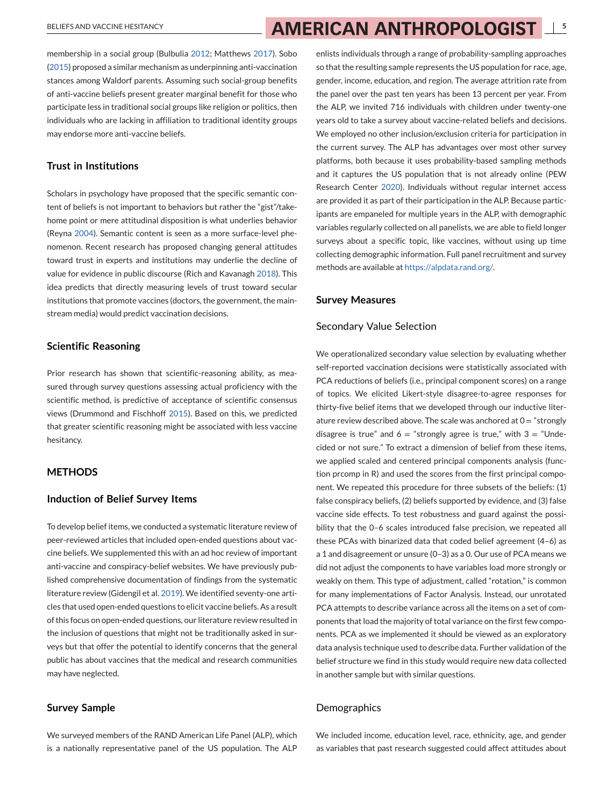membership in a social group (Bulbulia [2012;](#page-13-0) Matthews [2017\)](#page-14-0). Sobo [\(2015\)](#page-14-0) proposed a similar mechanism as underpinning anti-vaccination stances among Waldorf parents. Assuming such social-group benefits of anti-vaccine beliefs present greater marginal benefit for those who participate less in traditional social groups like religion or politics, then individuals who are lacking in affiliation to traditional identity groups may endorse more anti-vaccine beliefs.

## **Trust in Institutions**

Scholars in psychology have proposed that the specific semantic content of beliefs is not important to behaviors but rather the "gist"/takehome point or mere attitudinal disposition is what underlies behavior (Reyna [2004\)](#page-14-0). Semantic content is seen as a more surface-level phenomenon. Recent research has proposed changing general attitudes toward trust in experts and institutions may underlie the decline of value for evidence in public discourse (Rich and Kavanagh [2018\)](#page-14-0). This idea predicts that directly measuring levels of trust toward secular institutions that promote vaccines (doctors, the government, the mainstream media) would predict vaccination decisions.

### **Scientific Reasoning**

Prior research has shown that scientific-reasoning ability, as measured through survey questions assessing actual proficiency with the scientific method, is predictive of acceptance of scientific consensus views (Drummond and Fischhoff [2015\)](#page-13-0). Based on this, we predicted that greater scientific reasoning might be associated with less vaccine hesitancy.

## **METHODS**

#### **Induction of Belief Survey Items**

To develop belief items, we conducted a systematic literature review of peer-reviewed articles that included open-ended questions about vaccine beliefs. We supplemented this with an ad hoc review of important anti-vaccine and conspiracy-belief websites. We have previously published comprehensive documentation of findings from the systematic literature review (Gidengil et al. [2019\)](#page-13-0). We identified seventy-one articles that used open-ended questions to elicit vaccine beliefs. As a result of this focus on open-ended questions, our literature review resulted in the inclusion of questions that might not be traditionally asked in surveys but that offer the potential to identify concerns that the general public has about vaccines that the medical and research communities may have neglected.

## **Survey Sample**

We surveyed members of the RAND American Life Panel (ALP), which is a nationally representative panel of the US population. The ALP

enlists individuals through a range of probability-sampling approaches so that the resulting sample represents the US population for race, age, gender, income, education, and region. The average attrition rate from the panel over the past ten years has been 13 percent per year. From the ALP, we invited 716 individuals with children under twenty-one years old to take a survey about vaccine-related beliefs and decisions. We employed no other inclusion/exclusion criteria for participation in the current survey. The ALP has advantages over most other survey platforms, both because it uses probability-based sampling methods and it captures the US population that is not already online (PEW Research Center [2020\)](#page-14-0). Individuals without regular internet access are provided it as part of their participation in the ALP. Because participants are empaneled for multiple years in the ALP, with demographic variables regularly collected on all panelists, we are able to field longer surveys about a specific topic, like vaccines, without using up time collecting demographic information. Full panel recruitment and survey methods are available at [https://alpdata.rand.org/.](https://alpdata.rand.org/)

#### **Survey Measures**

#### Secondary Value Selection

We operationalized secondary value selection by evaluating whether self-reported vaccination decisions were statistically associated with PCA reductions of beliefs (i.e., principal component scores) on a range of topics. We elicited Likert-style disagree-to-agree responses for thirty-five belief items that we developed through our inductive literature review described above. The scale was anchored at  $0 =$  "strongly disagree is true" and  $6 =$  "strongly agree is true," with  $3 =$  "Undecided or not sure." To extract a dimension of belief from these items, we applied scaled and centered principal components analysis (function prcomp in R) and used the scores from the first principal component. We repeated this procedure for three subsets of the beliefs: (1) false conspiracy beliefs, (2) beliefs supported by evidence, and (3) false vaccine side effects. To test robustness and guard against the possibility that the 0–6 scales introduced false precision, we repeated all these PCAs with binarized data that coded belief agreement (4–6) as a 1 and disagreement or unsure (0–3) as a 0. Our use of PCA means we did not adjust the components to have variables load more strongly or weakly on them. This type of adjustment, called "rotation," is common for many implementations of Factor Analysis. Instead, our unrotated PCA attempts to describe variance across all the items on a set of components that load the majority of total variance on the first few components. PCA as we implemented it should be viewed as an exploratory data analysis technique used to describe data. Further validation of the belief structure we find in this study would require new data collected in another sample but with similar questions.

### Demographics

We included income, education level, race, ethnicity, age, and gender as variables that past research suggested could affect attitudes about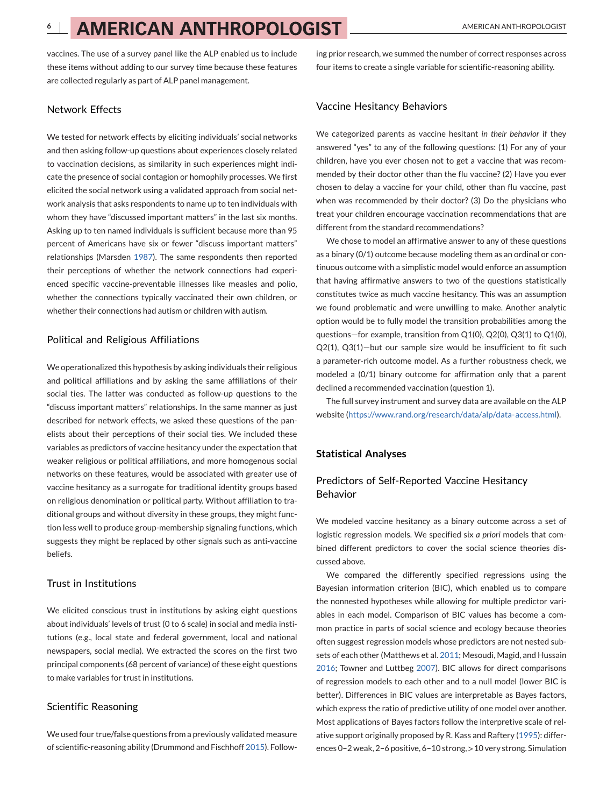vaccines. The use of a survey panel like the ALP enabled us to include these items without adding to our survey time because these features are collected regularly as part of ALP panel management.

### Network Effects

We tested for network effects by eliciting individuals' social networks and then asking follow-up questions about experiences closely related to vaccination decisions, as similarity in such experiences might indicate the presence of social contagion or homophily processes. We first elicited the social network using a validated approach from social network analysis that asks respondents to name up to ten individuals with whom they have "discussed important matters" in the last six months. Asking up to ten named individuals is sufficient because more than 95 percent of Americans have six or fewer "discuss important matters" relationships (Marsden [1987\)](#page-14-0). The same respondents then reported their perceptions of whether the network connections had experienced specific vaccine-preventable illnesses like measles and polio, whether the connections typically vaccinated their own children, or whether their connections had autism or children with autism.

### Political and Religious Affiliations

We operationalized this hypothesis by asking individuals their religious and political affiliations and by asking the same affiliations of their social ties. The latter was conducted as follow-up questions to the "discuss important matters" relationships. In the same manner as just described for network effects, we asked these questions of the panelists about their perceptions of their social ties. We included these variables as predictors of vaccine hesitancy under the expectation that weaker religious or political affiliations, and more homogenous social networks on these features, would be associated with greater use of vaccine hesitancy as a surrogate for traditional identity groups based on religious denomination or political party. Without affiliation to traditional groups and without diversity in these groups, they might function less well to produce group-membership signaling functions, which suggests they might be replaced by other signals such as anti-vaccine beliefs.

## Trust in Institutions

We elicited conscious trust in institutions by asking eight questions about individuals' levels of trust (0 to 6 scale) in social and media institutions (e.g., local state and federal government, local and national newspapers, social media). We extracted the scores on the first two principal components (68 percent of variance) of these eight questions to make variables for trust in institutions.

### Scientific Reasoning

We used four true/false questions from a previously validated measure of scientific-reasoning ability (Drummond and Fischhoff [2015\)](#page-13-0). Following prior research, we summed the number of correct responses across four items to create a single variable for scientific-reasoning ability.

#### Vaccine Hesitancy Behaviors

We categorized parents as vaccine hesitant *in their behavior* if they answered "yes" to any of the following questions: (1) For any of your children, have you ever chosen not to get a vaccine that was recommended by their doctor other than the flu vaccine? (2) Have you ever chosen to delay a vaccine for your child, other than flu vaccine, past when was recommended by their doctor? (3) Do the physicians who treat your children encourage vaccination recommendations that are different from the standard recommendations?

We chose to model an affirmative answer to any of these questions as a binary (0/1) outcome because modeling them as an ordinal or continuous outcome with a simplistic model would enforce an assumption that having affirmative answers to two of the questions statistically constitutes twice as much vaccine hesitancy. This was an assumption we found problematic and were unwilling to make. Another analytic option would be to fully model the transition probabilities among the questions—for example, transition from Q1(0), Q2(0), Q3(1) to Q1(0), Q2(1), Q3(1)—but our sample size would be insufficient to fit such a parameter-rich outcome model. As a further robustness check, we modeled a (0/1) binary outcome for affirmation only that a parent declined a recommended vaccination (question 1).

The full survey instrument and survey data are available on the ALP website [\(https://www.rand.org/research/data/alp/data-access.html\)](https://www.rand.org/research/data/alp/data-access.html).

### **Statistical Analyses**

## Predictors of Self-Reported Vaccine Hesitancy Behavior

We modeled vaccine hesitancy as a binary outcome across a set of logistic regression models. We specified six *a priori* models that combined different predictors to cover the social science theories discussed above.

We compared the differently specified regressions using the Bayesian information criterion (BIC), which enabled us to compare the nonnested hypotheses while allowing for multiple predictor variables in each model. Comparison of BIC values has become a common practice in parts of social science and ecology because theories often suggest regression models whose predictors are not nested subsets of each other (Matthews et al. [2011;](#page-14-0) Mesoudi, Magid, and Hussain [2016;](#page-14-0) Towner and Luttbeg [2007\)](#page-15-0). BIC allows for direct comparisons of regression models to each other and to a null model (lower BIC is better). Differences in BIC values are interpretable as Bayes factors, which express the ratio of predictive utility of one model over another. Most applications of Bayes factors follow the interpretive scale of relative support originally proposed by R. Kass and Raftery [\(1995\)](#page-14-0): differences 0–2 weak, 2–6 positive, 6–10 strong, >10 very strong. Simulation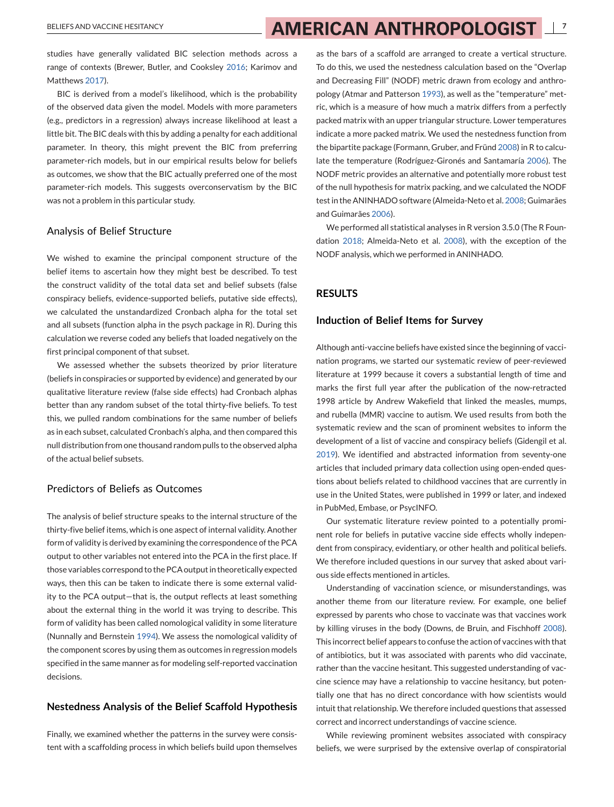# BELIEFS AND VACCINE HESITANCY **7 7 AMERICAN ANTHROPOLOGIST**

studies have generally validated BIC selection methods across a range of contexts (Brewer, Butler, and Cooksley [2016;](#page-13-0) Karimov and Matthews [2017\)](#page-14-0).

BIC is derived from a model's likelihood, which is the probability of the observed data given the model. Models with more parameters (e.g., predictors in a regression) always increase likelihood at least a little bit. The BIC deals with this by adding a penalty for each additional parameter. In theory, this might prevent the BIC from preferring parameter-rich models, but in our empirical results below for beliefs as outcomes, we show that the BIC actually preferred one of the most parameter-rich models. This suggests overconservatism by the BIC was not a problem in this particular study.

#### Analysis of Belief Structure

We wished to examine the principal component structure of the belief items to ascertain how they might best be described. To test the construct validity of the total data set and belief subsets (false conspiracy beliefs, evidence-supported beliefs, putative side effects), we calculated the unstandardized Cronbach alpha for the total set and all subsets (function alpha in the psych package in R). During this calculation we reverse coded any beliefs that loaded negatively on the first principal component of that subset.

We assessed whether the subsets theorized by prior literature (beliefs in conspiracies or supported by evidence) and generated by our qualitative literature review (false side effects) had Cronbach alphas better than any random subset of the total thirty-five beliefs. To test this, we pulled random combinations for the same number of beliefs as in each subset, calculated Cronbach's alpha, and then compared this null distribution from one thousand random pulls to the observed alpha of the actual belief subsets.

# Predictors of Beliefs as Outcomes

The analysis of belief structure speaks to the internal structure of the thirty-five belief items, which is one aspect of internal validity. Another form of validity is derived by examining the correspondence of the PCA output to other variables not entered into the PCA in the first place. If those variables correspond to the PCA output in theoretically expected ways, then this can be taken to indicate there is some external validity to the PCA output—that is, the output reflects at least something about the external thing in the world it was trying to describe. This form of validity has been called nomological validity in some literature (Nunnally and Bernstein [1994\)](#page-14-0). We assess the nomological validity of the component scores by using them as outcomes in regression models specified in the same manner as for modeling self-reported vaccination decisions.

### **Nestedness Analysis of the Belief Scaffold Hypothesis**

Finally, we examined whether the patterns in the survey were consistent with a scaffolding process in which beliefs build upon themselves

as the bars of a scaffold are arranged to create a vertical structure. To do this, we used the nestedness calculation based on the "Overlap and Decreasing Fill" (NODF) metric drawn from ecology and anthropology (Atmar and Patterson [1993\)](#page-13-0), as well as the "temperature" metric, which is a measure of how much a matrix differs from a perfectly packed matrix with an upper triangular structure. Lower temperatures indicate a more packed matrix. We used the nestedness function from the bipartite package (Formann, Gruber, and Fründ [2008\)](#page-13-0) in R to calculate the temperature (Rodríguez-Gironés and Santamaría [2006\)](#page-14-0). The NODF metric provides an alternative and potentially more robust test of the null hypothesis for matrix packing, and we calculated the NODF test in the ANINHADO software (Almeida-Neto et al. [2008;](#page-13-0) Guimarães and Guimarães [2006\)](#page-13-0).

We performed all statistical analyses in R version 3.5.0 (The R Foundation [2018;](#page-15-0) Almeida-Neto et al. [2008\)](#page-13-0), with the exception of the NODF analysis, which we performed in ANINHADO.

## **RESULTS**

#### **Induction of Belief Items for Survey**

Although anti-vaccine beliefs have existed since the beginning of vaccination programs, we started our systematic review of peer-reviewed literature at 1999 because it covers a substantial length of time and marks the first full year after the publication of the now-retracted 1998 article by Andrew Wakefield that linked the measles, mumps, and rubella (MMR) vaccine to autism. We used results from both the systematic review and the scan of prominent websites to inform the development of a list of vaccine and conspiracy beliefs (Gidengil et al. [2019\)](#page-13-0). We identified and abstracted information from seventy-one articles that included primary data collection using open-ended questions about beliefs related to childhood vaccines that are currently in use in the United States, were published in 1999 or later, and indexed in PubMed, Embase, or PsycINFO.

Our systematic literature review pointed to a potentially prominent role for beliefs in putative vaccine side effects wholly independent from conspiracy, evidentiary, or other health and political beliefs. We therefore included questions in our survey that asked about various side effects mentioned in articles.

Understanding of vaccination science, or misunderstandings, was another theme from our literature review. For example, one belief expressed by parents who chose to vaccinate was that vaccines work by killing viruses in the body (Downs, de Bruin, and Fischhoff [2008\)](#page-13-0). This incorrect belief appears to confuse the action of vaccines with that of antibiotics, but it was associated with parents who did vaccinate, rather than the vaccine hesitant. This suggested understanding of vaccine science may have a relationship to vaccine hesitancy, but potentially one that has no direct concordance with how scientists would intuit that relationship. We therefore included questions that assessed correct and incorrect understandings of vaccine science.

While reviewing prominent websites associated with conspiracy beliefs, we were surprised by the extensive overlap of conspiratorial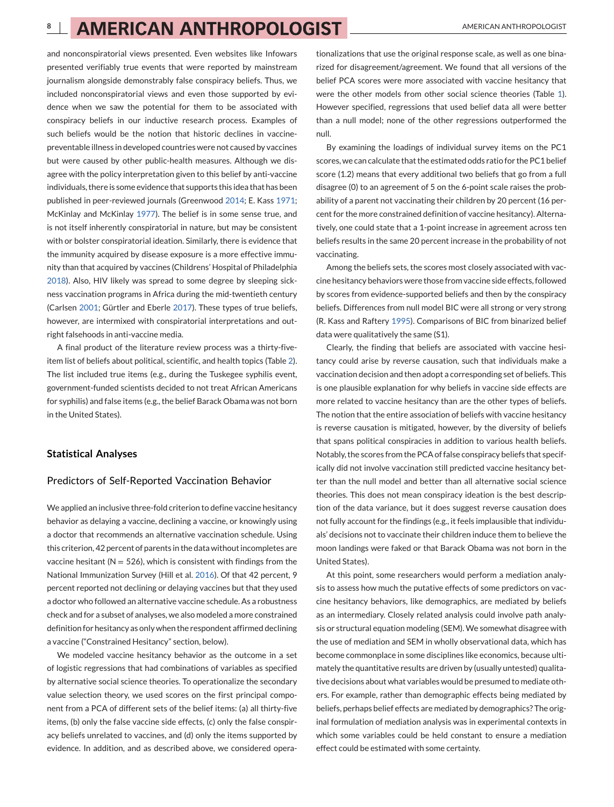and nonconspiratorial views presented. Even websites like Infowars presented verifiably true events that were reported by mainstream journalism alongside demonstrably false conspiracy beliefs. Thus, we included nonconspiratorial views and even those supported by evidence when we saw the potential for them to be associated with conspiracy beliefs in our inductive research process. Examples of such beliefs would be the notion that historic declines in vaccinepreventable illness in developed countries were not caused by vaccines but were caused by other public-health measures. Although we disagree with the policy interpretation given to this belief by anti-vaccine individuals, there is some evidence that supports this idea that has been published in peer-reviewed journals (Greenwood [2014;](#page-13-0) E. Kass [1971;](#page-14-0) McKinlay and McKinlay [1977\)](#page-14-0). The belief is in some sense true, and is not itself inherently conspiratorial in nature, but may be consistent with or bolster conspiratorial ideation. Similarly, there is evidence that the immunity acquired by disease exposure is a more effective immunity than that acquired by vaccines (Childrens' Hospital of Philadelphia [2018\)](#page-13-0). Also, HIV likely was spread to some degree by sleeping sickness vaccination programs in Africa during the mid-twentieth century (Carlsen [2001;](#page-13-0) Gürtler and Eberle [2017\)](#page-13-0). These types of true beliefs, however, are intermixed with conspiratorial interpretations and outright falsehoods in anti-vaccine media.

A final product of the literature review process was a thirty-fiveitem list of beliefs about political, scientific, and health topics (Table [2\)](#page-9-0). The list included true items (e.g., during the Tuskegee syphilis event, government-funded scientists decided to not treat African Americans for syphilis) and false items (e.g., the belief Barack Obama was not born in the United States).

### **Statistical Analyses**

#### Predictors of Self-Reported Vaccination Behavior

We applied an inclusive three-fold criterion to define vaccine hesitancy behavior as delaying a vaccine, declining a vaccine, or knowingly using a doctor that recommends an alternative vaccination schedule. Using this criterion, 42 percent of parents in the data without incompletes are vaccine hesitant ( $N = 526$ ), which is consistent with findings from the National Immunization Survey (Hill et al. [2016\)](#page-14-0). Of that 42 percent, 9 percent reported not declining or delaying vaccines but that they used a doctor who followed an alternative vaccine schedule. As a robustness check and for a subset of analyses, we also modeled a more constrained definition for hesitancy as only when the respondent affirmed declining a vaccine ("Constrained Hesitancy" section, below).

We modeled vaccine hesitancy behavior as the outcome in a set of logistic regressions that had combinations of variables as specified by alternative social science theories. To operationalize the secondary value selection theory, we used scores on the first principal component from a PCA of different sets of the belief items: (a) all thirty-five items, (b) only the false vaccine side effects, (c) only the false conspiracy beliefs unrelated to vaccines, and (d) only the items supported by evidence. In addition, and as described above, we considered opera-

tionalizations that use the original response scale, as well as one binarized for disagreement/agreement. We found that all versions of the belief PCA scores were more associated with vaccine hesitancy that were the other models from other social science theories (Table [1\)](#page-8-0). However specified, regressions that used belief data all were better than a null model; none of the other regressions outperformed the null.

By examining the loadings of individual survey items on the PC1 scores, we can calculate that the estimated odds ratio for the PC1 belief score (1.2) means that every additional two beliefs that go from a full disagree (0) to an agreement of 5 on the 6-point scale raises the probability of a parent not vaccinating their children by 20 percent (16 percent for the more constrained definition of vaccine hesitancy). Alternatively, one could state that a 1-point increase in agreement across ten beliefs results in the same 20 percent increase in the probability of not vaccinating.

Among the beliefs sets, the scores most closely associated with vaccine hesitancy behaviors were those from vaccine side effects, followed by scores from evidence-supported beliefs and then by the conspiracy beliefs. Differences from null model BIC were all strong or very strong (R. Kass and Raftery [1995\)](#page-14-0). Comparisons of BIC from binarized belief data were qualitatively the same (S1).

Clearly, the finding that beliefs are associated with vaccine hesitancy could arise by reverse causation, such that individuals make a vaccination decision and then adopt a corresponding set of beliefs. This is one plausible explanation for why beliefs in vaccine side effects are more related to vaccine hesitancy than are the other types of beliefs. The notion that the entire association of beliefs with vaccine hesitancy is reverse causation is mitigated, however, by the diversity of beliefs that spans political conspiracies in addition to various health beliefs. Notably, the scores from the PCA of false conspiracy beliefs that specifically did not involve vaccination still predicted vaccine hesitancy better than the null model and better than all alternative social science theories. This does not mean conspiracy ideation is the best description of the data variance, but it does suggest reverse causation does not fully account for the findings (e.g., it feels implausible that individuals' decisions not to vaccinate their children induce them to believe the moon landings were faked or that Barack Obama was not born in the United States).

At this point, some researchers would perform a mediation analysis to assess how much the putative effects of some predictors on vaccine hesitancy behaviors, like demographics, are mediated by beliefs as an intermediary. Closely related analysis could involve path analysis or structural equation modeling (SEM). We somewhat disagree with the use of mediation and SEM in wholly observational data, which has become commonplace in some disciplines like economics, because ultimately the quantitative results are driven by (usually untested) qualitative decisions about what variables would be presumed to mediate others. For example, rather than demographic effects being mediated by beliefs, perhaps belief effects are mediated by demographics? The original formulation of mediation analysis was in experimental contexts in which some variables could be held constant to ensure a mediation effect could be estimated with some certainty.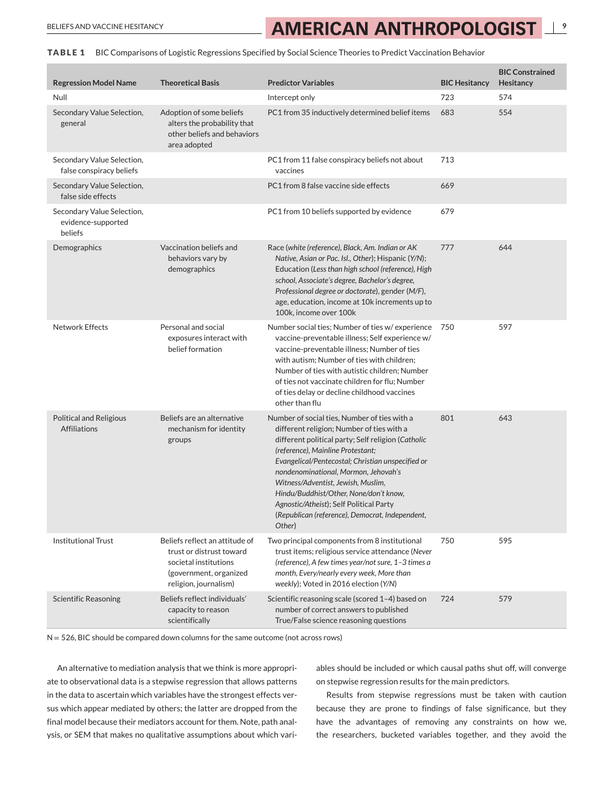# <span id="page-8-0"></span>BELIEFS AND VACCINE HESITANCY **AMERICAN ANTHROPOLOGIST**

**TABLE 1** BIC Comparisons of Logistic Regressions Specified by Social Science Theories to Predict Vaccination Behavior

| <b>Regression Model Name</b>                                | <b>Theoretical Basis</b>                                                                                                               | <b>Predictor Variables</b>                                                                                                                                                                                                                                                                                                                                                                                                                                                | <b>BIC Hesitancy</b> | <b>BIC Constrained</b><br>Hesitancy |
|-------------------------------------------------------------|----------------------------------------------------------------------------------------------------------------------------------------|---------------------------------------------------------------------------------------------------------------------------------------------------------------------------------------------------------------------------------------------------------------------------------------------------------------------------------------------------------------------------------------------------------------------------------------------------------------------------|----------------------|-------------------------------------|
| Null                                                        |                                                                                                                                        | Intercept only                                                                                                                                                                                                                                                                                                                                                                                                                                                            | 723                  | 574                                 |
| Secondary Value Selection,<br>general                       | Adoption of some beliefs<br>alters the probability that<br>other beliefs and behaviors<br>area adopted                                 | PC1 from 35 inductively determined belief items                                                                                                                                                                                                                                                                                                                                                                                                                           | 683                  | 554                                 |
| Secondary Value Selection,<br>false conspiracy beliefs      |                                                                                                                                        | PC1 from 11 false conspiracy beliefs not about<br>vaccines                                                                                                                                                                                                                                                                                                                                                                                                                | 713                  |                                     |
| Secondary Value Selection,<br>false side effects            |                                                                                                                                        | PC1 from 8 false vaccine side effects                                                                                                                                                                                                                                                                                                                                                                                                                                     | 669                  |                                     |
| Secondary Value Selection,<br>evidence-supported<br>beliefs |                                                                                                                                        | PC1 from 10 beliefs supported by evidence                                                                                                                                                                                                                                                                                                                                                                                                                                 | 679                  |                                     |
| Demographics                                                | Vaccination beliefs and<br>behaviors vary by<br>demographics                                                                           | Race (white (reference), Black, Am. Indian or AK<br>Native, Asian or Pac. Isl., Other); Hispanic (Y/N);<br>Education (Less than high school (reference), High<br>school, Associate's degree, Bachelor's degree,<br>Professional degree or doctorate), gender (M/F),<br>age, education, income at 10k increments up to<br>100k, income over 100k                                                                                                                           | 777                  | 644                                 |
| <b>Network Effects</b>                                      | Personal and social<br>exposures interact with<br>belief formation                                                                     | Number social ties; Number of ties w/experience<br>vaccine-preventable illness; Self experience w/<br>vaccine-preventable illness; Number of ties<br>with autism; Number of ties with children;<br>Number of ties with autistic children; Number<br>of ties not vaccinate children for flu; Number<br>of ties delay or decline childhood vaccines<br>other than flu                                                                                                       | 750                  | 597                                 |
| <b>Political and Religious</b><br><b>Affiliations</b>       | Beliefs are an alternative<br>mechanism for identity<br>groups                                                                         | Number of social ties, Number of ties with a<br>different religion; Number of ties with a<br>different political party; Self religion (Catholic<br>(reference), Mainline Protestant;<br>Evangelical/Pentecostal; Christian unspecified or<br>nondenominational, Mormon, Jehovah's<br>Witness/Adventist, Jewish, Muslim,<br>Hindu/Buddhist/Other, None/don't know,<br>Agnostic/Atheist); Self Political Party<br>(Republican (reference), Democrat, Independent,<br>Other) | 801                  | 643                                 |
| <b>Institutional Trust</b>                                  | Beliefs reflect an attitude of<br>trust or distrust toward<br>societal institutions<br>(government, organized<br>religion, journalism) | Two principal components from 8 institutional<br>trust items; religious service attendance (Never<br>(reference), A few times year/not sure, 1-3 times a<br>month, Every/nearly every week, More than<br>weekly); Voted in 2016 election (Y/N)                                                                                                                                                                                                                            | 750                  | 595                                 |
| <b>Scientific Reasoning</b>                                 | Beliefs reflect individuals'<br>capacity to reason<br>scientifically                                                                   | Scientific reasoning scale (scored 1-4) based on<br>number of correct answers to published<br>True/False science reasoning questions                                                                                                                                                                                                                                                                                                                                      | 724                  | 579                                 |

 $N = 526$ , BIC should be compared down columns for the same outcome (not across rows)

An alternative to mediation analysis that we think is more appropriate to observational data is a stepwise regression that allows patterns in the data to ascertain which variables have the strongest effects versus which appear mediated by others; the latter are dropped from the final model because their mediators account for them. Note, path analysis, or SEM that makes no qualitative assumptions about which vari-

ables should be included or which causal paths shut off, will converge on stepwise regression results for the main predictors.

Results from stepwise regressions must be taken with caution because they are prone to findings of false significance, but they have the advantages of removing any constraints on how we, the researchers, bucketed variables together, and they avoid the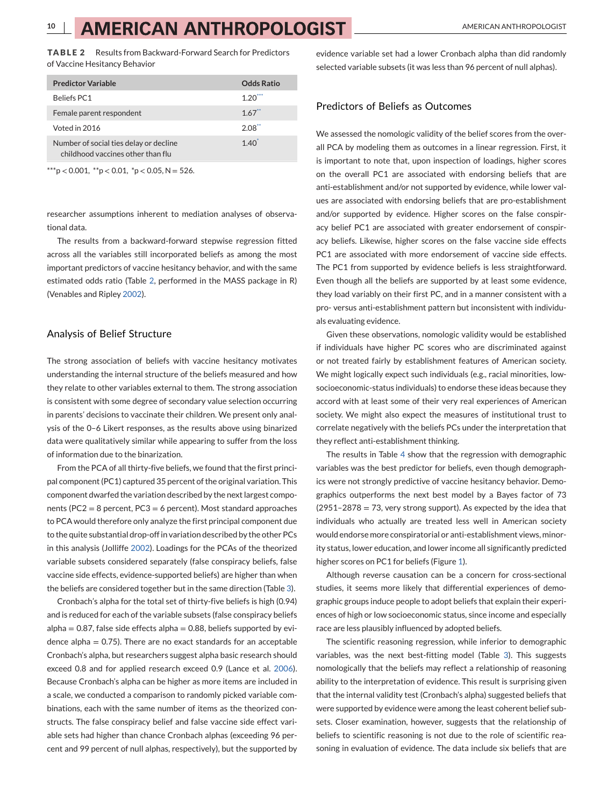<span id="page-9-0"></span>**TABLE 2** Results from Backward-Forward Search for Predictors of Vaccine Hesitancy Behavior

| <b>Predictor Variable</b>                                                   | Odds Ratio |
|-----------------------------------------------------------------------------|------------|
| <b>Beliefs PC1</b>                                                          | $1.20^{1}$ |
| Female parent respondent                                                    | 1.67       |
| Voted in 2016                                                               | 2.08       |
| Number of social ties delay or decline<br>childhood vaccines other than flu | $1.40^{1}$ |

 $***p$  < 0.001,  $*p$  < 0.01,  $*p$  < 0.05, N = 526.

researcher assumptions inherent to mediation analyses of observational data.

The results from a backward-forward stepwise regression fitted across all the variables still incorporated beliefs as among the most important predictors of vaccine hesitancy behavior, and with the same estimated odds ratio (Table 2, performed in the MASS package in R) (Venables and Ripley [2002\)](#page-15-0).

### Analysis of Belief Structure

The strong association of beliefs with vaccine hesitancy motivates understanding the internal structure of the beliefs measured and how they relate to other variables external to them. The strong association is consistent with some degree of secondary value selection occurring in parents' decisions to vaccinate their children. We present only analysis of the 0–6 Likert responses, as the results above using binarized data were qualitatively similar while appearing to suffer from the loss of information due to the binarization.

From the PCA of all thirty-five beliefs, we found that the first principal component (PC1) captured 35 percent of the original variation. This component dwarfed the variation described by the next largest components (PC2 = 8 percent, PC3 = 6 percent). Most standard approaches to PCA would therefore only analyze the first principal component due to the quite substantial drop-off in variation described by the other PCs in this analysis (Jolliffe [2002\)](#page-14-0). Loadings for the PCAs of the theorized variable subsets considered separately (false conspiracy beliefs, false vaccine side effects, evidence-supported beliefs) are higher than when the beliefs are considered together but in the same direction (Table [3\)](#page-10-0).

Cronbach's alpha for the total set of thirty-five beliefs is high (0.94) and is reduced for each of the variable subsets (false conspiracy beliefs  $alpha = 0.87$ , false side effects alpha = 0.88, beliefs supported by evidence alpha  $= 0.75$ ). There are no exact standards for an acceptable Cronbach's alpha, but researchers suggest alpha basic research should exceed 0.8 and for applied research exceed 0.9 (Lance et al. [2006\)](#page-14-0). Because Cronbach's alpha can be higher as more items are included in a scale, we conducted a comparison to randomly picked variable combinations, each with the same number of items as the theorized constructs. The false conspiracy belief and false vaccine side effect variable sets had higher than chance Cronbach alphas (exceeding 96 percent and 99 percent of null alphas, respectively), but the supported by

evidence variable set had a lower Cronbach alpha than did randomly selected variable subsets (it was less than 96 percent of null alphas).

#### Predictors of Beliefs as Outcomes

We assessed the nomologic validity of the belief scores from the overall PCA by modeling them as outcomes in a linear regression. First, it is important to note that, upon inspection of loadings, higher scores on the overall PC1 are associated with endorsing beliefs that are anti-establishment and/or not supported by evidence, while lower values are associated with endorsing beliefs that are pro-establishment and/or supported by evidence. Higher scores on the false conspiracy belief PC1 are associated with greater endorsement of conspiracy beliefs. Likewise, higher scores on the false vaccine side effects PC1 are associated with more endorsement of vaccine side effects. The PC1 from supported by evidence beliefs is less straightforward. Even though all the beliefs are supported by at least some evidence, they load variably on their first PC, and in a manner consistent with a pro- versus anti-establishment pattern but inconsistent with individuals evaluating evidence.

Given these observations, nomologic validity would be established if individuals have higher PC scores who are discriminated against or not treated fairly by establishment features of American society. We might logically expect such individuals (e.g., racial minorities, lowsocioeconomic-status individuals) to endorse these ideas because they accord with at least some of their very real experiences of American society. We might also expect the measures of institutional trust to correlate negatively with the beliefs PCs under the interpretation that they reflect anti-establishment thinking.

The results in Table [4](#page-11-0) show that the regression with demographic variables was the best predictor for beliefs, even though demographics were not strongly predictive of vaccine hesitancy behavior. Demographics outperforms the next best model by a Bayes factor of 73  $(2951-2878 = 73$ , very strong support). As expected by the idea that individuals who actually are treated less well in American society would endorse more conspiratorial or anti-establishment views, minority status, lower education, and lower income all significantly predicted higher scores on PC1 for beliefs (Figure [1\)](#page-11-0).

Although reverse causation can be a concern for cross-sectional studies, it seems more likely that differential experiences of demographic groups induce people to adopt beliefs that explain their experiences of high or low socioeconomic status, since income and especially race are less plausibly influenced by adopted beliefs.

The scientific reasoning regression, while inferior to demographic variables, was the next best-fitting model (Table [3\)](#page-10-0). This suggests nomologically that the beliefs may reflect a relationship of reasoning ability to the interpretation of evidence. This result is surprising given that the internal validity test (Cronbach's alpha) suggested beliefs that were supported by evidence were among the least coherent belief subsets. Closer examination, however, suggests that the relationship of beliefs to scientific reasoning is not due to the role of scientific reasoning in evaluation of evidence. The data include six beliefs that are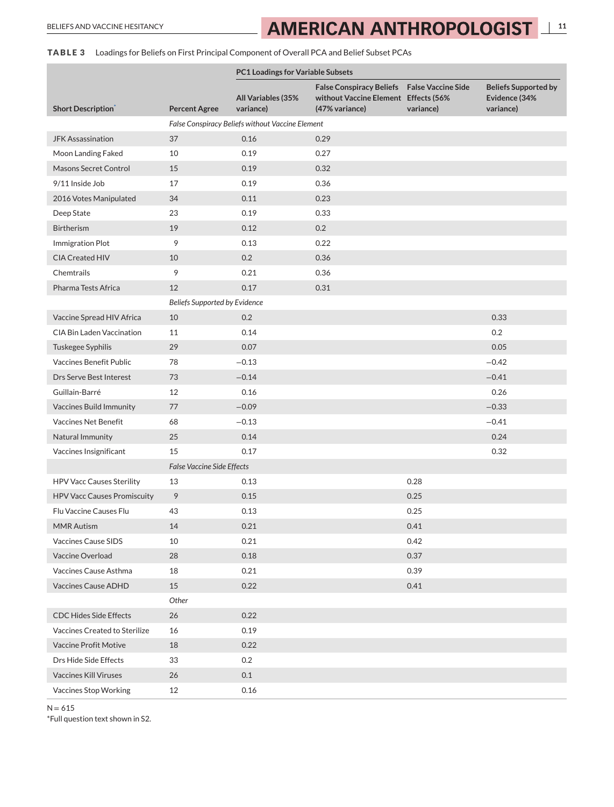# <span id="page-10-0"></span>BELIEFS AND VACCINE HESITANCY **111 AMERICAN ANTHROPOLOGIST**

# **TABLE 3** Loadings for Beliefs on First Principal Component of Overall PCA and Belief Subset PCAs

|                                    |                                   | <b>PC1 Loadings for Variable Subsets</b>         |                                                                                                              |           |                                                           |
|------------------------------------|-----------------------------------|--------------------------------------------------|--------------------------------------------------------------------------------------------------------------|-----------|-----------------------------------------------------------|
| <b>Short Description</b>           | <b>Percent Agree</b>              | <b>All Variables (35%</b><br>variance)           | <b>False Conspiracy Beliefs</b> False Vaccine Side<br>without Vaccine Element Effects (56%<br>(47% variance) | variance) | <b>Beliefs Supported by</b><br>Evidence (34%<br>variance) |
|                                    |                                   | False Conspiracy Beliefs without Vaccine Element |                                                                                                              |           |                                                           |
| <b>JFK Assassination</b>           | 37                                | 0.16                                             | 0.29                                                                                                         |           |                                                           |
| Moon Landing Faked                 | 10                                | 0.19                                             | 0.27                                                                                                         |           |                                                           |
| Masons Secret Control              | 15                                | 0.19                                             | 0.32                                                                                                         |           |                                                           |
| 9/11 Inside Job                    | 17                                | 0.19                                             | 0.36                                                                                                         |           |                                                           |
| 2016 Votes Manipulated             | 34                                | 0.11                                             | 0.23                                                                                                         |           |                                                           |
| Deep State                         | 23                                | 0.19                                             | 0.33                                                                                                         |           |                                                           |
| <b>Birtherism</b>                  | 19                                | 0.12                                             | 0.2                                                                                                          |           |                                                           |
| Immigration Plot                   | 9                                 | 0.13                                             | 0.22                                                                                                         |           |                                                           |
| <b>CIA Created HIV</b>             | 10                                | 0.2                                              | 0.36                                                                                                         |           |                                                           |
| Chemtrails                         | 9                                 | 0.21                                             | 0.36                                                                                                         |           |                                                           |
| Pharma Tests Africa                | 12                                | 0.17                                             | 0.31                                                                                                         |           |                                                           |
|                                    | Beliefs Supported by Evidence     |                                                  |                                                                                                              |           |                                                           |
| Vaccine Spread HIV Africa          | 10                                | 0.2                                              |                                                                                                              |           | 0.33                                                      |
| <b>CIA Bin Laden Vaccination</b>   | 11                                | 0.14                                             |                                                                                                              |           | 0.2                                                       |
| Tuskegee Syphilis                  | 29                                | 0.07                                             |                                                                                                              |           | 0.05                                                      |
| Vaccines Benefit Public            | 78                                | $-0.13$                                          |                                                                                                              |           | $-0.42$                                                   |
| Drs Serve Best Interest            | 73                                | $-0.14$                                          |                                                                                                              |           | $-0.41$                                                   |
| Guillain-Barré                     | 12                                | 0.16                                             |                                                                                                              |           | 0.26                                                      |
| Vaccines Build Immunity            | 77                                | $-0.09$                                          |                                                                                                              |           | $-0.33$                                                   |
| Vaccines Net Benefit               | 68                                | $-0.13$                                          |                                                                                                              |           | $-0.41$                                                   |
| Natural Immunity                   | 25                                | 0.14                                             |                                                                                                              |           | 0.24                                                      |
| Vaccines Insignificant             | 15                                | 0.17                                             |                                                                                                              |           | 0.32                                                      |
|                                    | <b>False Vaccine Side Effects</b> |                                                  |                                                                                                              |           |                                                           |
| <b>HPV Vacc Causes Sterility</b>   | 13                                | 0.13                                             |                                                                                                              | 0.28      |                                                           |
| <b>HPV Vacc Causes Promiscuity</b> | 9                                 | 0.15                                             |                                                                                                              | 0.25      |                                                           |
| Flu Vaccine Causes Flu             | 43                                | 0.13                                             |                                                                                                              | 0.25      |                                                           |
| <b>MMR Autism</b>                  | 14                                | 0.21                                             |                                                                                                              | 0.41      |                                                           |
| Vaccines Cause SIDS                | 10                                | 0.21                                             |                                                                                                              | 0.42      |                                                           |
| Vaccine Overload                   | 28                                | 0.18                                             |                                                                                                              | 0.37      |                                                           |
| Vaccines Cause Asthma              | 18                                | 0.21                                             |                                                                                                              | 0.39      |                                                           |
| Vaccines Cause ADHD                | 15                                | 0.22                                             |                                                                                                              | 0.41      |                                                           |
|                                    | Other                             |                                                  |                                                                                                              |           |                                                           |
| <b>CDC Hides Side Effects</b>      | 26                                | 0.22                                             |                                                                                                              |           |                                                           |
| Vaccines Created to Sterilize      | 16                                | 0.19                                             |                                                                                                              |           |                                                           |
| <b>Vaccine Profit Motive</b>       | 18                                | 0.22                                             |                                                                                                              |           |                                                           |
| Drs Hide Side Effects              | 33                                | 0.2                                              |                                                                                                              |           |                                                           |
| <b>Vaccines Kill Viruses</b>       | 26                                | 0.1                                              |                                                                                                              |           |                                                           |
| Vaccines Stop Working              | 12                                | 0.16                                             |                                                                                                              |           |                                                           |

 $N = 615$ 

\*Full question text shown in S2.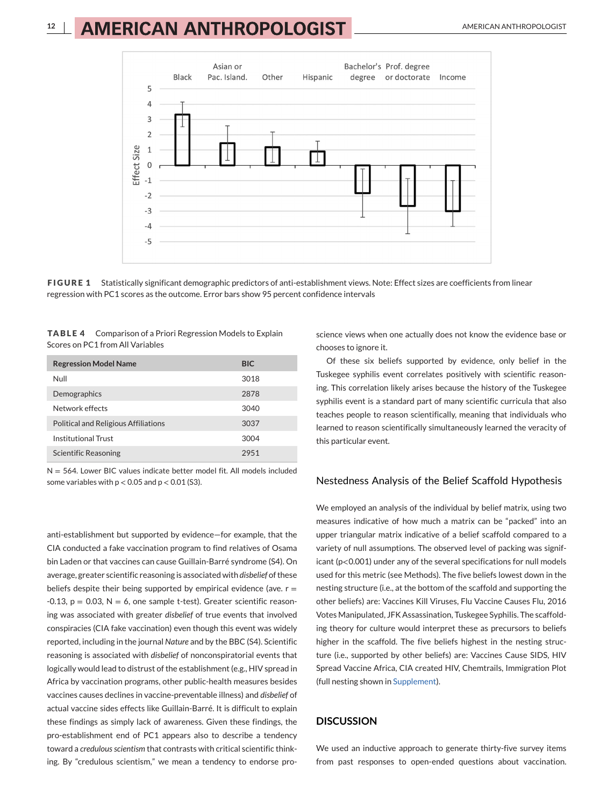<span id="page-11-0"></span>

**FIGURE 1** Statistically significant demographic predictors of anti-establishment views. Note: Effect sizes are coefficients from linear regression with PC1 scores as the outcome. Error bars show 95 percent confidence intervals

| <b>TABLE 4</b> Comparison of a Priori Regression Models to Explain |
|--------------------------------------------------------------------|
| Scores on PC1 from All Variables                                   |

| <b>Regression Model Name</b>         | <b>BIC</b> |
|--------------------------------------|------------|
| Null                                 | 3018       |
| Demographics                         | 2878       |
| Network effects                      | 3040       |
| Political and Religious Affiliations | 3037       |
| Institutional Trust                  | 3004       |
| <b>Scientific Reasoning</b>          | 2951       |

 $N = 564$ . Lower BIC values indicate better model fit. All models included some variables with  $p < 0.05$  and  $p < 0.01$  (S3).

anti-establishment but supported by evidence—for example, that the CIA conducted a fake vaccination program to find relatives of Osama bin Laden or that vaccines can cause Guillain-Barré syndrome (S4). On average, greater scientific reasoning is associated with *disbelief* of these beliefs despite their being supported by empirical evidence (ave.  $r =$  $-0.13$ ,  $p = 0.03$ ,  $N = 6$ , one sample t-test). Greater scientific reasoning was associated with greater *disbelief* of true events that involved conspiracies (CIA fake vaccination) even though this event was widely reported, including in the journal *Nature* and by the BBC (S4). Scientific reasoning is associated with *disbelief* of nonconspiratorial events that logically would lead to distrust of the establishment (e.g., HIV spread in Africa by vaccination programs, other public-health measures besides vaccines causes declines in vaccine-preventable illness) and *disbelief* of actual vaccine sides effects like Guillain-Barré. It is difficult to explain these findings as simply lack of awareness. Given these findings, the pro-establishment end of PC1 appears also to describe a tendency toward a *credulous scientism* that contrasts with critical scientific thinking. By "credulous scientism," we mean a tendency to endorse pro-

science views when one actually does not know the evidence base or chooses to ignore it.

Of these six beliefs supported by evidence, only belief in the Tuskegee syphilis event correlates positively with scientific reasoning. This correlation likely arises because the history of the Tuskegee syphilis event is a standard part of many scientific curricula that also teaches people to reason scientifically, meaning that individuals who learned to reason scientifically simultaneously learned the veracity of this particular event.

### Nestedness Analysis of the Belief Scaffold Hypothesis

We employed an analysis of the individual by belief matrix, using two measures indicative of how much a matrix can be "packed" into an upper triangular matrix indicative of a belief scaffold compared to a variety of null assumptions. The observed level of packing was significant (p<0.001) under any of the several specifications for null models used for this metric (see Methods). The five beliefs lowest down in the nesting structure (i.e., at the bottom of the scaffold and supporting the other beliefs) are: Vaccines Kill Viruses, Flu Vaccine Causes Flu, 2016 Votes Manipulated, JFK Assassination, Tuskegee Syphilis. The scaffolding theory for culture would interpret these as precursors to beliefs higher in the scaffold. The five beliefs highest in the nesting structure (i.e., supported by other beliefs) are: Vaccines Cause SIDS, HIV Spread Vaccine Africa, CIA created HIV, Chemtrails, Immigration Plot (full nesting shown in Supplement).

### **DISCUSSION**

We used an inductive approach to generate thirty-five survey items from past responses to open-ended questions about vaccination.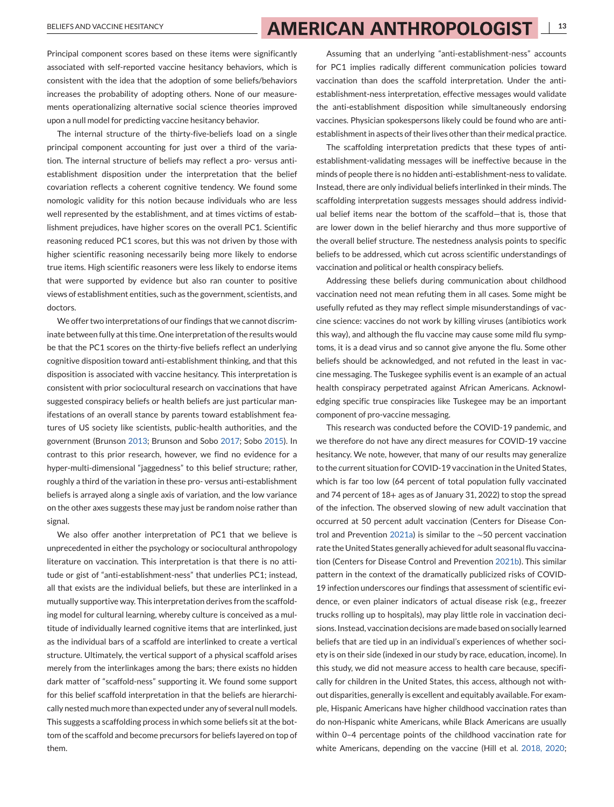Principal component scores based on these items were significantly associated with self-reported vaccine hesitancy behaviors, which is consistent with the idea that the adoption of some beliefs/behaviors increases the probability of adopting others. None of our measurements operationalizing alternative social science theories improved upon a null model for predicting vaccine hesitancy behavior.

The internal structure of the thirty-five-beliefs load on a single principal component accounting for just over a third of the variation. The internal structure of beliefs may reflect a pro- versus antiestablishment disposition under the interpretation that the belief covariation reflects a coherent cognitive tendency. We found some nomologic validity for this notion because individuals who are less well represented by the establishment, and at times victims of establishment prejudices, have higher scores on the overall PC1. Scientific reasoning reduced PC1 scores, but this was not driven by those with higher scientific reasoning necessarily being more likely to endorse true items. High scientific reasoners were less likely to endorse items that were supported by evidence but also ran counter to positive views of establishment entities, such as the government, scientists, and doctors.

We offer two interpretations of our findings that we cannot discriminate between fully at this time. One interpretation of the results would be that the PC1 scores on the thirty-five beliefs reflect an underlying cognitive disposition toward anti-establishment thinking, and that this disposition is associated with vaccine hesitancy. This interpretation is consistent with prior sociocultural research on vaccinations that have suggested conspiracy beliefs or health beliefs are just particular manifestations of an overall stance by parents toward establishment features of US society like scientists, public-health authorities, and the government (Brunson [2013;](#page-13-0) Brunson and Sobo [2017;](#page-13-0) Sobo [2015\)](#page-14-0). In contrast to this prior research, however, we find no evidence for a hyper-multi-dimensional "jaggedness" to this belief structure; rather, roughly a third of the variation in these pro- versus anti-establishment beliefs is arrayed along a single axis of variation, and the low variance on the other axes suggests these may just be random noise rather than signal.

We also offer another interpretation of PC1 that we believe is unprecedented in either the psychology or sociocultural anthropology literature on vaccination. This interpretation is that there is no attitude or gist of "anti-establishment-ness" that underlies PC1; instead, all that exists are the individual beliefs, but these are interlinked in a mutually supportive way. This interpretation derives from the scaffolding model for cultural learning, whereby culture is conceived as a multitude of individually learned cognitive items that are interlinked, just as the individual bars of a scaffold are interlinked to create a vertical structure. Ultimately, the vertical support of a physical scaffold arises merely from the interlinkages among the bars; there exists no hidden dark matter of "scaffold-ness" supporting it. We found some support for this belief scaffold interpretation in that the beliefs are hierarchically nested much more than expected under any of several null models. This suggests a scaffolding process in which some beliefs sit at the bottom of the scaffold and become precursors for beliefs layered on top of them.

Assuming that an underlying "anti-establishment-ness" accounts for PC1 implies radically different communication policies toward vaccination than does the scaffold interpretation. Under the antiestablishment-ness interpretation, effective messages would validate the anti-establishment disposition while simultaneously endorsing vaccines. Physician spokespersons likely could be found who are antiestablishment in aspects of their lives other than their medical practice.

The scaffolding interpretation predicts that these types of antiestablishment-validating messages will be ineffective because in the minds of people there is no hidden anti-establishment-ness to validate. Instead, there are only individual beliefs interlinked in their minds. The scaffolding interpretation suggests messages should address individual belief items near the bottom of the scaffold—that is, those that are lower down in the belief hierarchy and thus more supportive of the overall belief structure. The nestedness analysis points to specific beliefs to be addressed, which cut across scientific understandings of vaccination and political or health conspiracy beliefs.

Addressing these beliefs during communication about childhood vaccination need not mean refuting them in all cases. Some might be usefully refuted as they may reflect simple misunderstandings of vaccine science: vaccines do not work by killing viruses (antibiotics work this way), and although the flu vaccine may cause some mild flu symptoms, it is a dead virus and so cannot give anyone the flu. Some other beliefs should be acknowledged, and not refuted in the least in vaccine messaging. The Tuskegee syphilis event is an example of an actual health conspiracy perpetrated against African Americans. Acknowledging specific true conspiracies like Tuskegee may be an important component of pro-vaccine messaging.

This research was conducted before the COVID-19 pandemic, and we therefore do not have any direct measures for COVID-19 vaccine hesitancy. We note, however, that many of our results may generalize to the current situation for COVID-19 vaccination in the United States, which is far too low (64 percent of total population fully vaccinated and 74 percent of 18+ ages as of January 31, 2022) to stop the spread of the infection. The observed slowing of new adult vaccination that occurred at 50 percent adult vaccination (Centers for Disease Control and Prevention [2021a\)](#page-13-0) is similar to the <sup>∼</sup>50 percent vaccination rate the United States generally achieved for adult seasonal flu vaccination (Centers for Disease Control and Prevention [2021b\)](#page-13-0). This similar pattern in the context of the dramatically publicized risks of COVID-19 infection underscores our findings that assessment of scientific evidence, or even plainer indicators of actual disease risk (e.g., freezer trucks rolling up to hospitals), may play little role in vaccination decisions. Instead, vaccination decisions are made based on socially learned beliefs that are tied up in an individual's experiences of whether society is on their side (indexed in our study by race, education, income). In this study, we did not measure access to health care because, specifically for children in the United States, this access, although not without disparities, generally is excellent and equitably available. For example, Hispanic Americans have higher childhood vaccination rates than do non-Hispanic white Americans, while Black Americans are usually within 0–4 percentage points of the childhood vaccination rate for white Americans, depending on the vaccine (Hill et al. [2018, 2020;](#page-14-0)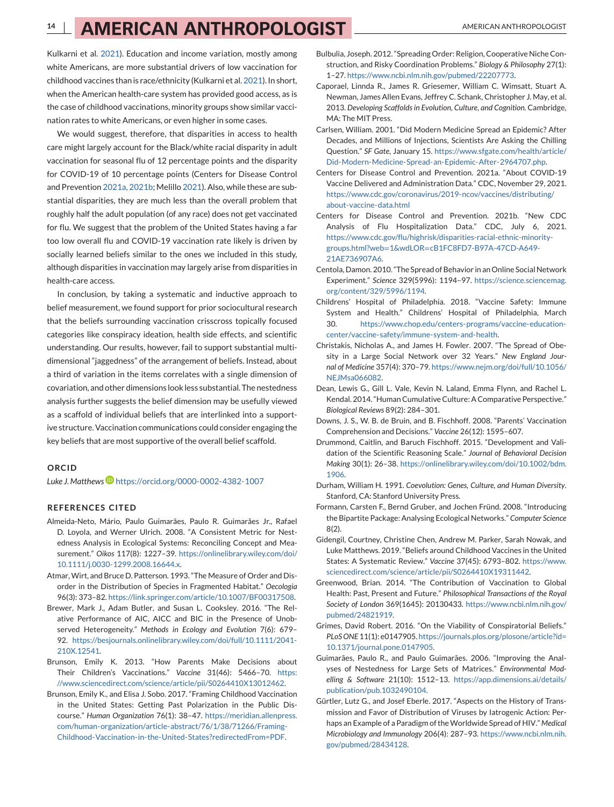<span id="page-13-0"></span>Kulkarni et al. [2021\)](#page-14-0). Education and income variation, mostly among white Americans, are more substantial drivers of low vaccination for childhood vaccines than is race/ethnicity (Kulkarni et al. [2021\)](#page-14-0). In short, when the American health-care system has provided good access, as is the case of childhood vaccinations, minority groups show similar vaccination rates to white Americans, or even higher in some cases.

We would suggest, therefore, that disparities in access to health care might largely account for the Black/white racial disparity in adult vaccination for seasonal flu of 12 percentage points and the disparity for COVID-19 of 10 percentage points (Centers for Disease Control and Prevention 2021a, 2021b; Melillo [2021\)](#page-14-0). Also, while these are substantial disparities, they are much less than the overall problem that roughly half the adult population (of any race) does not get vaccinated for flu. We suggest that the problem of the United States having a far too low overall flu and COVID-19 vaccination rate likely is driven by socially learned beliefs similar to the ones we included in this study, although disparities in vaccination may largely arise from disparities in health-care access.

In conclusion, by taking a systematic and inductive approach to belief measurement, we found support for prior sociocultural research that the beliefs surrounding vaccination crisscross topically focused categories like conspiracy ideation, health side effects, and scientific understanding. Our results, however, fail to support substantial multidimensional "jaggedness" of the arrangement of beliefs. Instead, about a third of variation in the items correlates with a single dimension of covariation, and other dimensions look less substantial. The nestedness analysis further suggests the belief dimension may be usefully viewed as a scaffold of individual beliefs that are interlinked into a supportive structure. Vaccination communications could consider engaging the key beliefs that are most supportive of the overall belief scaffold.

#### **ORCID**

*Luke J. Matthew[s](https://orcid.org/0000-0002-4382-1007)* <https://orcid.org/0000-0002-4382-1007>

#### **REFERENCES CITED**

- Almeida-Neto, Mário, Paulo Guimarães, Paulo R. Guimarães Jr., Rafael D. Loyola, and Werner Ulrich. 2008. "A Consistent Metric for Nestedness Analysis in Ecological Systems: Reconciling Concept and Measurement." *Oikos* 117(8): 1227–39. [https://onlinelibrary.wiley.com/doi/](https://onlinelibrary.wiley.com/doi/10.1111/j.0030-1299.2008.16644.x) [10.1111/j.0030-1299.2008.16644.x.](https://onlinelibrary.wiley.com/doi/10.1111/j.0030-1299.2008.16644.x)
- Atmar, Wirt, and Bruce D. Patterson. 1993. "The Measure of Order and Disorder in the Distribution of Species in Fragmented Habitat." *Oecologia* 96(3): 373–82. [https://link.springer.com/article/10.1007/BF00317508.](https://link.springer.com/article/10.1007/BF00317508)
- Brewer, Mark J., Adam Butler, and Susan L. Cooksley. 2016. "The Relative Performance of AIC, AICC and BIC in the Presence of Unobserved Heterogeneity." *Methods in Ecology and Evolution* 7(6): 679– 92. [https://besjournals.onlinelibrary.wiley.com/doi/full/10.1111/2041-](https://besjournals.onlinelibrary.wiley.com/doi/full/10.1111/2041-210X.12541) [210X.12541.](https://besjournals.onlinelibrary.wiley.com/doi/full/10.1111/2041-210X.12541)
- Brunson, Emily K. 2013. "How Parents Make Decisions about Their Children's Vaccinations." *Vaccine* 31(46): 5466–70. [https:](https://www.sciencedirect.com/science/article/pii/S0264410X13012462) [//www.sciencedirect.com/science/article/pii/S0264410X13012462.](https://www.sciencedirect.com/science/article/pii/S0264410X13012462)
- Brunson, Emily K., and Elisa J. Sobo. 2017. "Framing Childhood Vaccination in the United States: Getting Past Polarization in the Public Discourse." *Human Organization* 76(1): 38–47. [https://meridian.allenpress.](https://meridian.allenpress.com/human-organization/article-abstract/76/1/38/71266/Framing-Childhood-Vaccination-in-the-United-States?redirectedFrom=PDF) [com/human-organization/article-abstract/76/1/38/71266/Framing-](https://meridian.allenpress.com/human-organization/article-abstract/76/1/38/71266/Framing-Childhood-Vaccination-in-the-United-States?redirectedFrom=PDF)[Childhood-Vaccination-in-the-United-States?redirectedFrom=PDF.](https://meridian.allenpress.com/human-organization/article-abstract/76/1/38/71266/Framing-Childhood-Vaccination-in-the-United-States?redirectedFrom=PDF)
- Bulbulia, Joseph. 2012. "Spreading Order: Religion, Cooperative Niche Construction, and Risky Coordination Problems." *Biology & Philosophy* 27(1): 1–27. [https://www.ncbi.nlm.nih.gov/pubmed/22207773.](https://www.ncbi.nlm.nih.gov/pubmed/22207773)
- Caporael, Linnda R., James R. Griesemer, William C. Wimsatt, Stuart A. Newman, James Allen Evans, Jeffrey C. Schank, Christopher J. May, et al. 2013. *Developing Scaffolds in Evolution, Culture, and Cognition*. Cambridge, MA: The MIT Press.
- Carlsen, William. 2001. "Did Modern Medicine Spread an Epidemic? After Decades, and Millions of Injections, Scientists Are Asking the Chilling Question." *SF Gate*, January 15. [https://www.sfgate.com/health/article/](https://www.sfgate.com/health/article/Did-Modern-Medicine-Spread-an-Epidemic-After-2964707.php) [Did-Modern-Medicine-Spread-an-Epidemic-After-2964707.php.](https://www.sfgate.com/health/article/Did-Modern-Medicine-Spread-an-Epidemic-After-2964707.php)
- Centers for Disease Control and Prevention. 2021a. "About COVID-19 Vaccine Delivered and Administration Data." CDC, November 29, 2021. [https://www.cdc.gov/coronavirus/2019-ncov/vaccines/distributing/](https://www.cdc.gov/coronavirus/2019-ncov/vaccines/distributing/about-vaccine-data.html) [about-vaccine-data.html](https://www.cdc.gov/coronavirus/2019-ncov/vaccines/distributing/about-vaccine-data.html)
- Centers for Disease Control and Prevention. 2021b. "New CDC Analysis of Flu Hospitalization Data." CDC, July 6, 2021. [https://www.cdc.gov/flu/highrisk/disparities-racial-ethnic-minority](https://www.cdc.gov/flu/highrisk/disparities-racial-ethnic-minority-groups.html?web=1&wdLOR=cB1FC8FD7-B97A-47CD-A649-21AE736907A6)groups.html?web=1&wdLOR=[cB1FC8FD7-B97A-47CD-A649-](https://www.cdc.gov/flu/highrisk/disparities-racial-ethnic-minority-groups.html?web=1&wdLOR=cB1FC8FD7-B97A-47CD-A649-21AE736907A6) [21AE736907A6.](https://www.cdc.gov/flu/highrisk/disparities-racial-ethnic-minority-groups.html?web=1&wdLOR=cB1FC8FD7-B97A-47CD-A649-21AE736907A6)
- Centola, Damon. 2010. "The Spread of Behavior in an Online Social Network Experiment." *Science* 329(5996): 1194–97. [https://science.sciencemag.](https://science.sciencemag.org/content/329/5996/1194) [org/content/329/5996/1194.](https://science.sciencemag.org/content/329/5996/1194)
- Childrens' Hospital of Philadelphia. 2018. "Vaccine Safety: Immune System and Health." Childrens' Hospital of Philadelphia, March 30. [https://www.chop.edu/centers-programs/vaccine-education](https://www.chop.edu/centers-programs/vaccine-education-center/vaccine-safety/immune-system-and-health)[center/vaccine-safety/immune-system-and-health.](https://www.chop.edu/centers-programs/vaccine-education-center/vaccine-safety/immune-system-and-health)
- Christakis, Nicholas A., and James H. Fowler. 2007. "The Spread of Obesity in a Large Social Network over 32 Years." *New England Journal of Medicine* 357(4): 370–79. [https://www.nejm.org/doi/full/10.1056/](https://www.nejm.org/doi/full/10.1056/NEJMsa066082) NE IMsa066082
- Dean, Lewis G., Gill L. Vale, Kevin N. Laland, Emma Flynn, and Rachel L. Kendal. 2014. "Human Cumulative Culture: A Comparative Perspective." *Biological Reviews* 89(2): 284–301.
- Downs, J. S., W. B. de Bruin, and B. Fischhoff. 2008. "Parents' Vaccination Comprehension and Decisions." *Vaccine* 26(12): 1595–607.
- Drummond, Caitlin, and Baruch Fischhoff. 2015. "Development and Validation of the Scientific Reasoning Scale." *Journal of Behavioral Decision Making* 30(1): 26–38. [https://onlinelibrary.wiley.com/doi/10.1002/bdm.](https://onlinelibrary.wiley.com/doi/10.1002/bdm.1906) [1906.](https://onlinelibrary.wiley.com/doi/10.1002/bdm.1906)
- Durham, William H. 1991. *Coevolution: Genes, Culture, and Human Diversity*. Stanford, CA: Stanford University Press.
- Formann, Carsten F., Bernd Gruber, and Jochen Fründ. 2008. "Introducing the Bipartite Package: Analysing Ecological Networks." *Computer Science* 8(2).
- Gidengil, Courtney, Christine Chen, Andrew M. Parker, Sarah Nowak, and Luke Matthews. 2019. "Beliefs around Childhood Vaccines in the United States: A Systematic Review." *Vaccine* 37(45): 6793–802. [https://www.](https://www.sciencedirect.com/science/article/pii/S0264410X19311442) [sciencedirect.com/science/article/pii/S0264410X19311442.](https://www.sciencedirect.com/science/article/pii/S0264410X19311442)
- Greenwood, Brian. 2014. "The Contribution of Vaccination to Global Health: Past, Present and Future." *Philosophical Transactions of the Royal Society of London* 369(1645): 20130433. [https://www.ncbi.nlm.nih.gov/](https://www.ncbi.nlm.nih.gov/pubmed/24821919) [pubmed/24821919.](https://www.ncbi.nlm.nih.gov/pubmed/24821919)
- Grimes, David Robert. 2016. "On the Viability of Conspiratorial Beliefs." *PLoS ONE* 11(1): e0147905. [https://journals.plos.org/plosone/article?id=](https://journals.plos.org/plosone/article?id=10.1371/journal.pone.0147905) [10.1371/journal.pone.0147905.](https://journals.plos.org/plosone/article?id=10.1371/journal.pone.0147905)
- Guimarães, Paulo R., and Paulo Guimarães. 2006. "Improving the Analyses of Nestedness for Large Sets of Matrices." *Environmental Modelling & Software* 21(10): 1512–13. [https://app.dimensions.ai/details/](https://app.dimensions.ai/details/publication/pub.1032490104) [publication/pub.1032490104.](https://app.dimensions.ai/details/publication/pub.1032490104)
- Gürtler, Lutz G., and Josef Eberle. 2017. "Aspects on the History of Transmission and Favor of Distribution of Viruses by Iatrogenic Action: Perhaps an Example of a Paradigm of theWorldwide Spread of HIV." *Medical Microbiology and Immunology* 206(4): 287–93. [https://www.ncbi.nlm.nih.](https://www.ncbi.nlm.nih.gov/pubmed/28434128) [gov/pubmed/28434128.](https://www.ncbi.nlm.nih.gov/pubmed/28434128)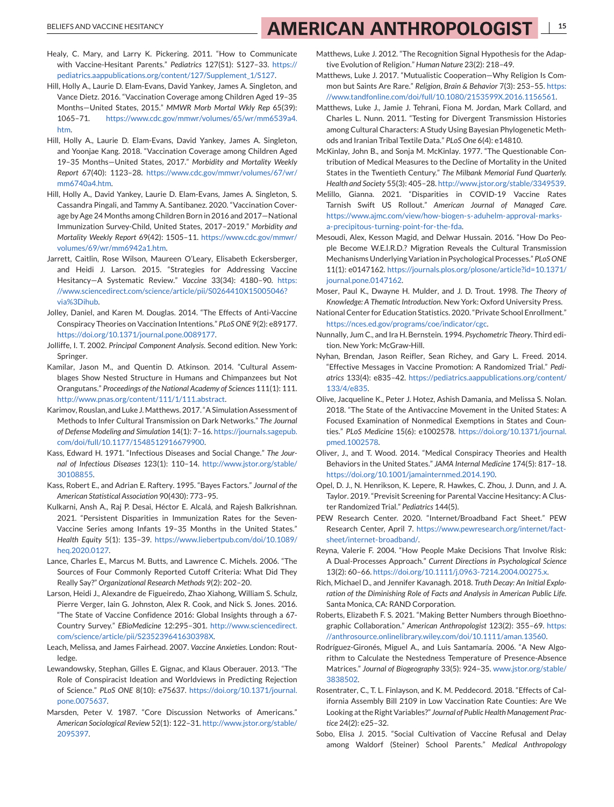# <span id="page-14-0"></span>BELIEFS AND VACCINE HESITANCY **1992 AMERICAN ANTHROPOLOGIST**

- Healy, C. Mary, and Larry K. Pickering. 2011. "How to Communicate with Vaccine-Hesitant Parents." *Pediatrics* 127(S1): S127–33. [https://](https://pediatrics.aappublications.org/content/127/Supplement_1/S127) [pediatrics.aappublications.org/content/127/Supplement\\_1/S127.](https://pediatrics.aappublications.org/content/127/Supplement_1/S127)
- Hill, Holly A., Laurie D. Elam-Evans, David Yankey, James A. Singleton, and Vance Dietz. 2016. "Vaccination Coverage among Children Aged 19–35 Months—United States, 2015." *MMWR Morb Mortal Wkly Rep* 65(39): 1065–71. [https://www.cdc.gov/mmwr/volumes/65/wr/mm6539a4.](https://www.cdc.gov/mmwr/volumes/65/wr/mm6539a4.htm) [htm.](https://www.cdc.gov/mmwr/volumes/65/wr/mm6539a4.htm)
- Hill, Holly A., Laurie D. Elam-Evans, David Yankey, James A. Singleton, and Yoonjae Kang. 2018. "Vaccination Coverage among Children Aged 19–35 Months—United States, 2017." *Morbidity and Mortality Weekly Report* 67(40): 1123–28. [https://www.cdc.gov/mmwr/volumes/67/wr/](https://www.cdc.gov/mmwr/volumes/67/wr/mm6740a4.htm) [mm6740a4.htm.](https://www.cdc.gov/mmwr/volumes/67/wr/mm6740a4.htm)
- Hill, Holly A., David Yankey, Laurie D. Elam-Evans, James A. Singleton, S. Cassandra Pingali, and Tammy A. Santibanez. 2020. "Vaccination Coverage by Age 24 Months among Children Born in 2016 and 2017—National Immunization Survey-Child, United States, 2017–2019." *Morbidity and Mortality Weekly Report* 69(42): 1505–11. [https://www.cdc.gov/mmwr/](https://www.cdc.gov/mmwr/volumes/69/wr/mm6942a1.htm) [volumes/69/wr/mm6942a1.htm.](https://www.cdc.gov/mmwr/volumes/69/wr/mm6942a1.htm)
- Jarrett, Caitlin, Rose Wilson, Maureen O'Leary, Elisabeth Eckersberger, and Heidi J. Larson. 2015. "Strategies for Addressing Vaccine Hesitancy—A Systematic Review." *Vaccine* 33(34): 4180–90. [https:](https://www.sciencedirect.com/science/article/pii/S0264410X15005046?via%3Dihub) [//www.sciencedirect.com/science/article/pii/S0264410X15005046?](https://www.sciencedirect.com/science/article/pii/S0264410X15005046?via%3Dihub) [via%3Dihub.](https://www.sciencedirect.com/science/article/pii/S0264410X15005046?via%3Dihub)
- Jolley, Daniel, and Karen M. Douglas. 2014. "The Effects of Anti-Vaccine Conspiracy Theories on Vaccination Intentions." *PLoS ONE* 9(2): e89177. [https://doi.org/10.1371/journal.pone.0089177.](https://doi.org/10.1371/journal.pone.0089177)
- Jolliffe, I. T. 2002. *Principal Component Analysis*. Second edition. New York: Springer.
- Kamilar, Jason M., and Quentin D. Atkinson. 2014. "Cultural Assemblages Show Nested Structure in Humans and Chimpanzees but Not Orangutans." *Proceedings of the National Academy of Sciences* 111(1): 111. [http://www.pnas.org/content/111/1/111.abstract.](http://www.pnas.org/content/111/1/111.abstract)
- Karimov, Rouslan, and Luke J.Matthews. 2017. "A Simulation Assessment of Methods to Infer Cultural Transmission on Dark Networks." *The Journal of Defense Modeling and Simulation* 14(1): 7–16. [https://journals.sagepub.](https://journals.sagepub.com/doi/full/10.1177/1548512916679900) [com/doi/full/10.1177/1548512916679900.](https://journals.sagepub.com/doi/full/10.1177/1548512916679900)
- Kass, Edward H. 1971. "Infectious Diseases and Social Change." *The Journal of Infectious Diseases* 123(1): 110–14. [http://www.jstor.org/stable/](http://www.jstor.org/stable/30108855) [30108855.](http://www.jstor.org/stable/30108855)
- Kass, Robert E., and Adrian E. Raftery. 1995. "Bayes Factors." *Journal of the American Statistical Association* 90(430): 773–95.
- Kulkarni, Ansh A., Raj P. Desai, Héctor E. Alcalá, and Rajesh Balkrishnan. 2021. "Persistent Disparities in Immunization Rates for the Seven-Vaccine Series among Infants 19–35 Months in the United States." *Health Equity* 5(1): 135–39. [https://www.liebertpub.com/doi/10.1089/](https://www.liebertpub.com/doi/10.1089/heq.2020.0127) [heq.2020.0127.](https://www.liebertpub.com/doi/10.1089/heq.2020.0127)
- Lance, Charles E., Marcus M. Butts, and Lawrence C. Michels. 2006. "The Sources of Four Commonly Reported Cutoff Criteria: What Did They Really Say?" *Organizational Research Methods* 9(2): 202–20.
- Larson, Heidi J., Alexandre de Figueiredo, Zhao Xiahong, William S. Schulz, Pierre Verger, Iain G. Johnston, Alex R. Cook, and Nick S. Jones. 2016. "The State of Vaccine Confidence 2016: Global Insights through a 67- Country Survey." *EBioMedicine* 12:295–301. [http://www.sciencedirect.](http://www.sciencedirect.com/science/article/pii/S235239641630398X) [com/science/article/pii/S235239641630398X.](http://www.sciencedirect.com/science/article/pii/S235239641630398X)
- Leach, Melissa, and James Fairhead. 2007. *Vaccine Anxieties*. London: Routledge.
- Lewandowsky, Stephan, Gilles E. Gignac, and Klaus Oberauer. 2013. "The Role of Conspiracist Ideation and Worldviews in Predicting Rejection of Science." *PLoS ONE* 8(10): e75637. [https://doi.org/10.1371/journal.](https://doi.org/10.1371/journal.pone.0075637) [pone.0075637.](https://doi.org/10.1371/journal.pone.0075637)
- Marsden, Peter V. 1987. "Core Discussion Networks of Americans." *American Sociological Review* 52(1): 122–31. [http://www.jstor.org/stable/](http://www.jstor.org/stable/2095397) [2095397.](http://www.jstor.org/stable/2095397)
- Matthews, Luke J. 2012. "The Recognition Signal Hypothesis for the Adaptive Evolution of Religion." *Human Nature* 23(2): 218–49.
- Matthews, Luke J. 2017. "Mutualistic Cooperation—Why Religion Is Common but Saints Are Rare." *Religion*, *Brain & Behavior* 7(3): 253–55. [https:](https://www.tandfonline.com/doi/full/10.1080/2153599X.2016.1156561) [//www.tandfonline.com/doi/full/10.1080/2153599X.2016.1156561.](https://www.tandfonline.com/doi/full/10.1080/2153599X.2016.1156561)
- Matthews, Luke J., Jamie J. Tehrani, Fiona M. Jordan, Mark Collard, and Charles L. Nunn. 2011. "Testing for Divergent Transmission Histories among Cultural Characters: A Study Using Bayesian Phylogenetic Methods and Iranian Tribal Textile Data." *PLoS One* 6(4): e14810.
- McKinlay, John B., and Sonja M. McKinlay. 1977. "The Questionable Contribution of Medical Measures to the Decline of Mortality in the United States in the Twentieth Century." *The Milbank Memorial Fund Quarterly. Health and Society* 55(3): 405–28. [http://www.jstor.org/stable/3349539.](http://www.jstor.org/stable/3349539)
- Melillo, Gianna. 2021. "Disparities in COVID-19 Vaccine Rates Tarnish Swift US Rollout." *American Journal of Managed Care*. [https://www.ajmc.com/view/how-biogen-s-aduhelm-approval-marks](https://www.ajmc.com/view/how-biogen-s-aduhelm-approval-marks-a-precipitous-turning-point-for-the-fda)[a-precipitous-turning-point-for-the-fda.](https://www.ajmc.com/view/how-biogen-s-aduhelm-approval-marks-a-precipitous-turning-point-for-the-fda)
- Mesoudi, Alex, Kesson Magid, and Delwar Hussain. 2016. "How Do People Become W.E.I.R.D.? Migration Reveals the Cultural Transmission Mechanisms Underlying Variation in Psychological Processes." *PLoS ONE* 11(1): e0147162. [https://journals.plos.org/plosone/article?id=10.1371/](https://journals.plos.org/plosone/article?id=10.1371/journal.pone.0147162) [journal.pone.0147162.](https://journals.plos.org/plosone/article?id=10.1371/journal.pone.0147162)
- Moser, Paul K., Dwayne H. Mulder, and J. D. Trout. 1998. *The Theory of Knowledge: A Thematic Introduction*. New York: Oxford University Press.
- National Center for Education Statistics. 2020. "Private School Enrollment." [https://nces.ed.gov/programs/coe/indicator/cgc.](https://nces.ed.gov/programs/coe/indicator/cgc)
- Nunnally, Jum C., and Ira H. Bernstein. 1994. *Psychometric Theory*. Third edition. New York: McGraw-Hill.
- Nyhan, Brendan, Jason Reifler, Sean Richey, and Gary L. Freed. 2014. "Effective Messages in Vaccine Promotion: A Randomized Trial." *Pediatrics* 133(4): e835–42. [https://pediatrics.aappublications.org/content/](https://pediatrics.aappublications.org/content/133/4/e835) [133/4/e835.](https://pediatrics.aappublications.org/content/133/4/e835)
- Olive, Jacqueline K., Peter J. Hotez, Ashish Damania, and Melissa S. Nolan. 2018. "The State of the Antivaccine Movement in the United States: A Focused Examination of Nonmedical Exemptions in States and Counties." *PLoS Medicine* 15(6): e1002578. [https://doi.org/10.1371/journal.](https://doi.org/10.1371/journal.pmed.1002578) [pmed.1002578.](https://doi.org/10.1371/journal.pmed.1002578)
- Oliver, J., and T. Wood. 2014. "Medical Conspiracy Theories and Health Behaviors in the United States." *JAMA Internal Medicine* 174(5): 817–18. [https://doi.org/10.1001/jamainternmed.2014.190.](https://doi.org/10.1001/jamainternmed.2014.190)
- Opel, D. J., N. Henrikson, K. Lepere, R. Hawkes, C. Zhou, J. Dunn, and J. A. Taylor. 2019. "Previsit Screening for Parental Vaccine Hesitancy: A Cluster Randomized Trial." *Pediatrics* 144(5).
- PEW Research Center. 2020. "Internet/Broadband Fact Sheet." PEW Research Center, April 7. [https://www.pewresearch.org/internet/fact](https://www.pewresearch.org/internet/fact-sheet/internet-broadband/)[sheet/internet-broadband/.](https://www.pewresearch.org/internet/fact-sheet/internet-broadband/)
- Reyna, Valerie F. 2004. "How People Make Decisions That Involve Risk: A Dual-Processes Approach." *Current Directions in Psychological Science* 13(2): 60–66. [https://doi.org/10.1111/j.0963-7214.2004.00275.x.](https://doi.org/10.1111/j.0963-7214.2004.00275.x)
- Rich, Michael D., and Jennifer Kavanagh. 2018. *Truth Decay: An Initial Exploration of the Diminishing Role of Facts and Analysis in American Public Life*. Santa Monica, CA: RAND Corporation.
- Roberts, Elizabeth F. S. 2021. "Making Better Numbers through Bioethnographic Collaboration." *American Anthropologist* 123(2): 355–69. [https:](https://anthrosource.onlinelibrary.wiley.com/doi/10.1111/aman.13560) [//anthrosource.onlinelibrary.wiley.com/doi/10.1111/aman.13560.](https://anthrosource.onlinelibrary.wiley.com/doi/10.1111/aman.13560)
- Rodríguez-Gironés, Miguel A., and Luis Santamaría. 2006. "A New Algorithm to Calculate the Nestedness Temperature of Presence-Absence Matrices." *Journal of Biogeography* 33(5): 924–35. [www.jstor.org/stable/](http://www.jstor.org/stable/3838502) [3838502.](http://www.jstor.org/stable/3838502)
- Rosentrater, C., T. L. Finlayson, and K. M. Peddecord. 2018. "Effects of California Assembly Bill 2109 in Low Vaccination Rate Counties: Are We Looking at the Right Variables?" *Journal of Public Health Management Practice* 24(2): e25–32.
- Sobo, Elisa J. 2015. "Social Cultivation of Vaccine Refusal and Delay among Waldorf (Steiner) School Parents." *Medical Anthropology*